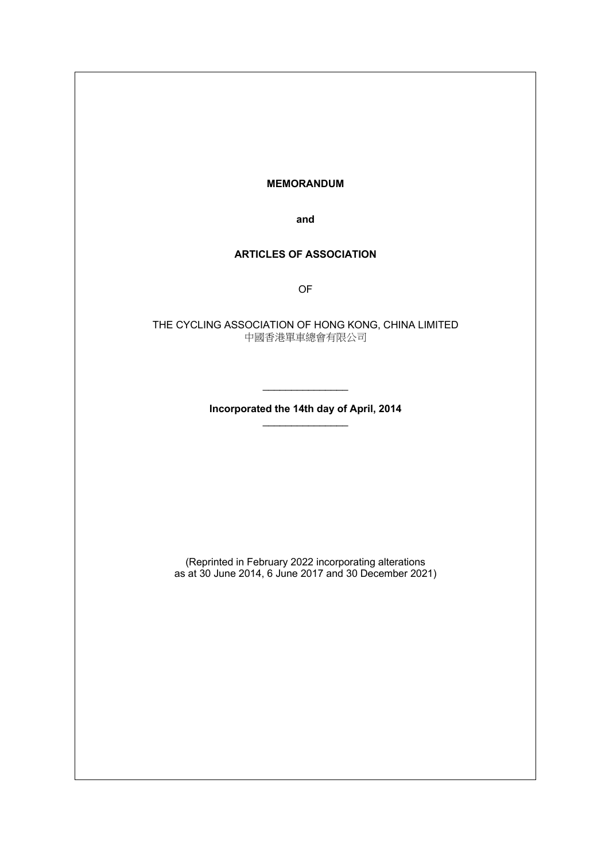#### **MEMORANDUM**

**and**

# **ARTICLES OF ASSOCIATION**

OF

THE CYCLING ASSOCIATION OF HONG KONG, CHINA LIMITED 中國香港單車總會有限公司

> **Incorporated the 14th day of April, 2014**  $\mathcal{L}$  , we have the set of the set of the set of the set of the set of the set of the set of the set of the set of the set of the set of the set of the set of the set of the set of the set of the set of the set of the

 $\mathcal{L}$  , we have the set of the set of the set of the set of the set of the set of the set of the set of the set of the set of the set of the set of the set of the set of the set of the set of the set of the set of the

(Reprinted in February 2022 incorporating alterations as at 30 June 2014, 6 June 2017 and 30 December 2021)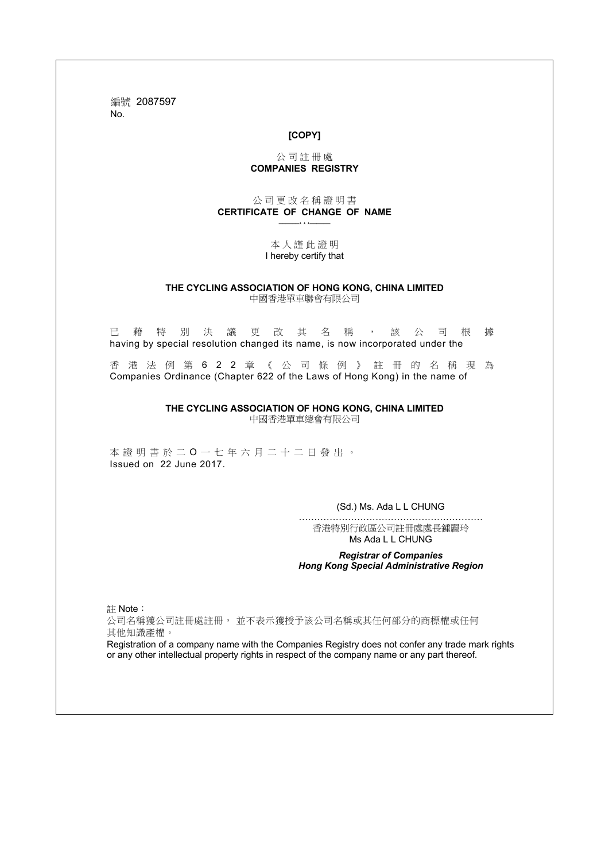編號 2087597 No.

### **[COPY]**

#### 公 司 註 冊 處 **COMPANIES REGISTRY**

#### 公 司 更 改 名 稱 證 明 書 **CERTIFICATE OF CHANGE OF NAME** \_\_\_\_\_\_\* \* \*\_\_\_\_\_\_

#### 本 人 謹 此 證 明 I hereby certify that

#### **THE CYCLING ASSOCIATION OF HONG KONG, CHINA LIMITED** 中國香港單車聯會有限公司

已藉特別決議更改其名稱,該公司根據 having by special resolution changed its name, is now incorporated under the

香港法例第 622 章《公司條例》 註冊的名稱現為 Companies Ordinance (Chapter 622 of the Laws of Hong Kong) in the name of

**THE CYCLING ASSOCIATION OF HONG KONG, CHINA LIMITED**

中國香港單車總會有限公司

本證明書於 二 O 一 七 年 六 月 二十二 日發出。 Issued on 22 June 2017.

(Sd.) Ms. Ada L L CHUNG

…………………………………………………… 香港特別行政區公司註冊處處長鍾麗玲 Ms Ada L L CHUNG

#### *Registrar of Companies Hong Kong Special Administrative Region*

註 Note:

公司名稱獲公司註冊處註冊, 並不表示獲授予該公司名稱或其任何部分的商標權或任何 其他知識產權。

Registration of a company name with the Companies Registry does not confer any trade mark rights or any other intellectual property rights in respect of the company name or any part thereof.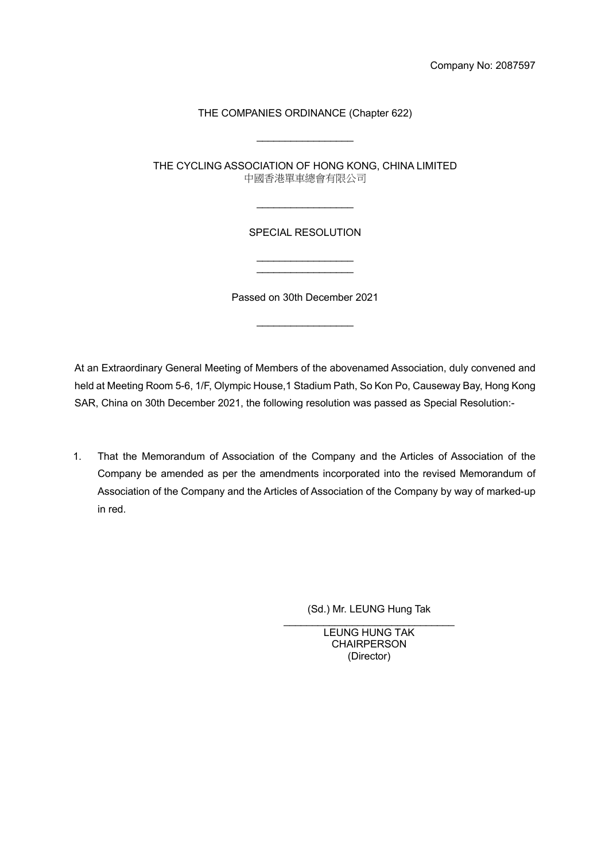# THE COMPANIES ORDINANCE (Chapter 622)

 $\overline{\phantom{a}}$  , and the set of the set of the set of the set of the set of the set of the set of the set of the set of the set of the set of the set of the set of the set of the set of the set of the set of the set of the s

THE CYCLING ASSOCIATION OF HONG KONG, CHINA LIMITED 中國香港單車總會有限公司

 $\overline{\phantom{a}}$  , and the set of the set of the set of the set of the set of the set of the set of the set of the set of the set of the set of the set of the set of the set of the set of the set of the set of the set of the s

# SPECIAL RESOLUTION

 $\overline{\phantom{a}}$  , and the set of the set of the set of the set of the set of the set of the set of the set of the set of the set of the set of the set of the set of the set of the set of the set of the set of the set of the s  $\overline{\phantom{a}}$  , and the set of the set of the set of the set of the set of the set of the set of the set of the set of the set of the set of the set of the set of the set of the set of the set of the set of the set of the s

Passed on 30th December 2021

 $\overline{\phantom{a}}$  , and the set of the set of the set of the set of the set of the set of the set of the set of the set of the set of the set of the set of the set of the set of the set of the set of the set of the set of the s

At an Extraordinary General Meeting of Members of the abovenamed Association, duly convened and held at Meeting Room 5-6, 1/F, Olympic House,1 Stadium Path, So Kon Po, Causeway Bay, Hong Kong SAR, China on 30th December 2021, the following resolution was passed as Special Resolution:-

1. That the Memorandum of Association of the Company and the Articles of Association of the Company be amended as per the amendments incorporated into the revised Memorandum of Association of the Company and the Articles of Association of the Company by way of marked-up in red.

(Sd.) Mr. LEUNG Hung Tak

\_\_\_\_\_\_\_\_\_\_\_\_\_\_\_\_\_\_\_\_\_\_\_\_\_\_\_\_\_\_ LEUNG HUNG TAK **CHAIRPERSON** (Director)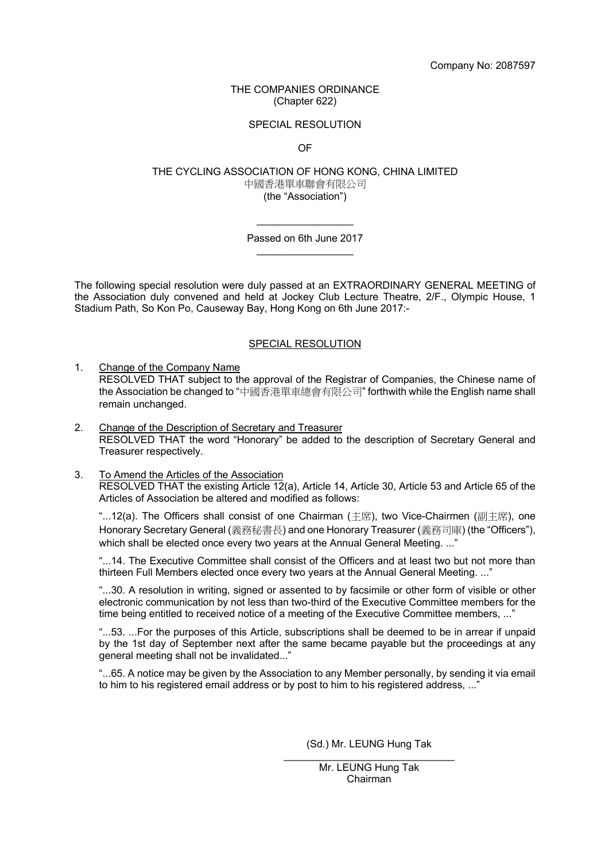#### THE COMPANIES ORDINANCE (Chapter 622)

#### SPECIAL RESOLUTION

OF

#### THE CYCLING ASSOCIATION OF HONG KONG, CHINA LIMITED 中國香港單車聯會有限公司 (the "Association")

 $\overline{\phantom{a}}$  , and the set of the set of the set of the set of the set of the set of the set of the set of the set of the set of the set of the set of the set of the set of the set of the set of the set of the set of the s Passed on 6th June 2017  $\overline{\phantom{a}}$  , and the set of the set of the set of the set of the set of the set of the set of the set of the set of the set of the set of the set of the set of the set of the set of the set of the set of the set of the s

The following special resolution were duly passed at an EXTRAORDINARY GENERAL MEETING of the Association duly convened and held at Jockey Club Lecture Theatre, 2/F., Olympic House, 1 Stadium Path, So Kon Po, Causeway Bay, Hong Kong on 6th June 2017:-

#### SPECIAL RESOLUTION

1. Change of the Company Name

RESOLVED THAT subject to the approval of the Registrar of Companies, the Chinese name of the Association be changed to "中國香港單車總會有限公司" forthwith while the English name shall remain unchanged.

- 2. Change of the Description of Secretary and Treasurer RESOLVED THAT the word "Honorary" be added to the description of Secretary General and Treasurer respectively.
- 3. To Amend the Articles of the Association RESOLVED THAT the existing Article 12(a), Article 14, Article 30, Article 53 and Article 65 of the Articles of Association be altered and modified as follows:

"...12(a). The Officers shall consist of one Chairman (主席), two Vice-Chairmen (副主席), one Honorary Secretary General (義務秘書長) and one Honorary Treasurer (義務司庫) (the "Officers"), which shall be elected once every two years at the Annual General Meeting. ..."

"...14. The Executive Committee shall consist of the Officers and at least two but not more than thirteen Full Members elected once every two years at the Annual General Meeting. ..."

"...30. A resolution in writing, signed or assented to by facsimile or other form of visible or other electronic communication by not less than two-third of the Executive Committee members for the time being entitled to received notice of a meeting of the Executive Committee members, ..."

"...53. ...For the purposes of this Article, subscriptions shall be deemed to be in arrear if unpaid by the 1st day of September next after the same became payable but the proceedings at any general meeting shall not be invalidated..."

"...65. A notice may be given by the Association to any Member personally, by sending it via email to him to his registered email address or by post to him to his registered address, ..."

> (Sd.) Mr. LEUNG Hung Tak \_\_\_\_\_\_\_\_\_\_\_\_\_\_\_\_\_\_\_\_\_\_\_\_\_\_\_\_\_\_

> > Mr. LEUNG Hung Tak Chairman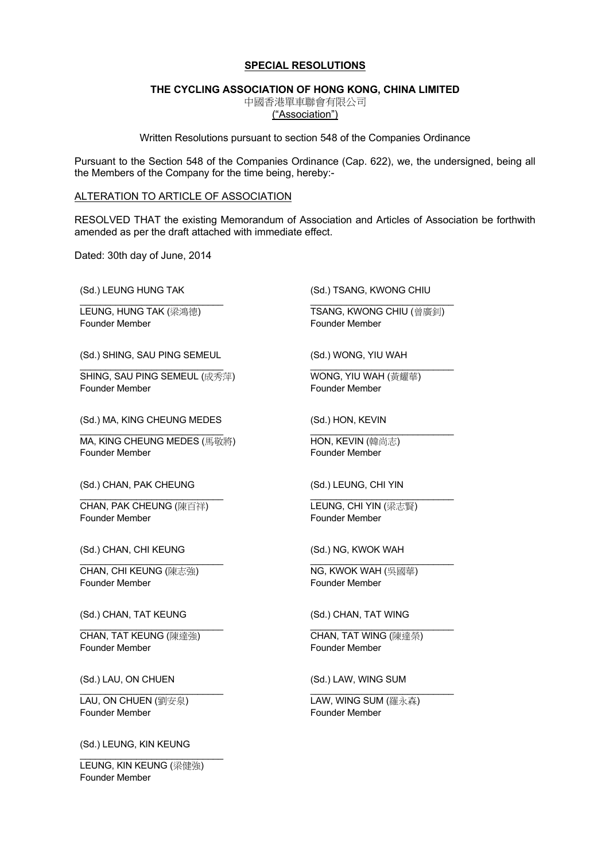#### **SPECIAL RESOLUTIONS**

#### **THE CYCLING ASSOCIATION OF HONG KONG, CHINA LIMITED**

中國香港單車聯會有限公司

("Association")

Written Resolutions pursuant to section 548 of the Companies Ordinance

Pursuant to the Section 548 of the Companies Ordinance (Cap. 622), we, the undersigned, being all the Members of the Company for the time being, hereby:-

#### ALTERATION TO ARTICLE OF ASSOCIATION

RESOLVED THAT the existing Memorandum of Association and Articles of Association be forthwith amended as per the draft attached with immediate effect.

Dated: 30th day of June, 2014

(Sd.) LEUNG HUNG TAK

\_\_\_\_\_\_\_\_\_\_\_\_\_\_\_\_\_\_\_\_\_\_\_\_\_\_\_\_ LEUNG, HUNG TAK (梁鴻德) Founder Member

(Sd.) SHING, SAU PING SEMEUL

\_\_\_\_\_\_\_\_\_\_\_\_\_\_\_\_\_\_\_\_\_\_\_\_\_\_\_\_ SHING, SAU PING SEMEUL (成秀萍) Founder Member

(Sd.) MA, KING CHEUNG MEDES

\_\_\_\_\_\_\_\_\_\_\_\_\_\_\_\_\_\_\_\_\_\_\_\_\_\_\_\_ MA, KING CHEUNG MEDES (馬敬將) Founder Member

(Sd.) CHAN, PAK CHEUNG

CHAN, PAK CHEUNG (陳百祥) Founder Member

\_\_\_\_\_\_\_\_\_\_\_\_\_\_\_\_\_\_\_\_\_\_\_\_\_\_\_\_

(Sd.) CHAN, CHI KEUNG

CHAN, CHI KEUNG (陳志強) Founder Member

\_\_\_\_\_\_\_\_\_\_\_\_\_\_\_\_\_\_\_\_\_\_\_\_\_\_\_\_

(Sd.) CHAN, TAT KEUNG

\_\_\_\_\_\_\_\_\_\_\_\_\_\_\_\_\_\_\_\_\_\_\_\_\_\_\_\_ CHAN, TAT KEUNG (陳達強) Founder Member

(Sd.) LAU, ON CHUEN

\_\_\_\_\_\_\_\_\_\_\_\_\_\_\_\_\_\_\_\_\_\_\_\_\_\_\_\_ LAU, ON CHUEN (劉安泉) Founder Member

(Sd.) LEUNG, KIN KEUNG

\_\_\_\_\_\_\_\_\_\_\_\_\_\_\_\_\_\_\_\_\_\_\_\_\_\_\_\_ LEUNG, KIN KEUNG (梁健強) Founder Member

(Sd.) TSANG, KWONG CHIU

\_\_\_\_\_\_\_\_\_\_\_\_\_\_\_\_\_\_\_\_\_\_\_\_\_\_\_\_ TSANG, KWONG CHIU (曾廣釗) Founder Member

\_\_\_\_\_\_\_\_\_\_\_\_\_\_\_\_\_\_\_\_\_\_\_\_\_\_\_\_

(Sd.) WONG, YIU WAH

WONG, YIU WAH (黃耀華) Founder Member

(Sd.) HON, KEVIN

\_\_\_\_\_\_\_\_\_\_\_\_\_\_\_\_\_\_\_\_\_\_\_\_\_\_\_\_ HON, KEVIN (韓尚志) Founder Member

(Sd.) LEUNG, CHI YIN

LEUNG, CHI YIN (梁志賢) Founder Member

\_\_\_\_\_\_\_\_\_\_\_\_\_\_\_\_\_\_\_\_\_\_\_\_\_\_\_\_

\_\_\_\_\_\_\_\_\_\_\_\_\_\_\_\_\_\_\_\_\_\_\_\_\_\_\_\_

\_\_\_\_\_\_\_\_\_\_\_\_\_\_\_\_\_\_\_\_\_\_\_\_\_\_\_\_

\_\_\_\_\_\_\_\_\_\_\_\_\_\_\_\_\_\_\_\_\_\_\_\_\_\_\_\_

(Sd.) NG, KWOK WAH

NG, KWOK WAH (吳國華) Founder Member

(Sd.) CHAN, TAT WING

CHAN, TAT WING (陳達榮) Founder Member

(Sd.) LAW, WING SUM

LAW, WING SUM (羅永森) Founder Member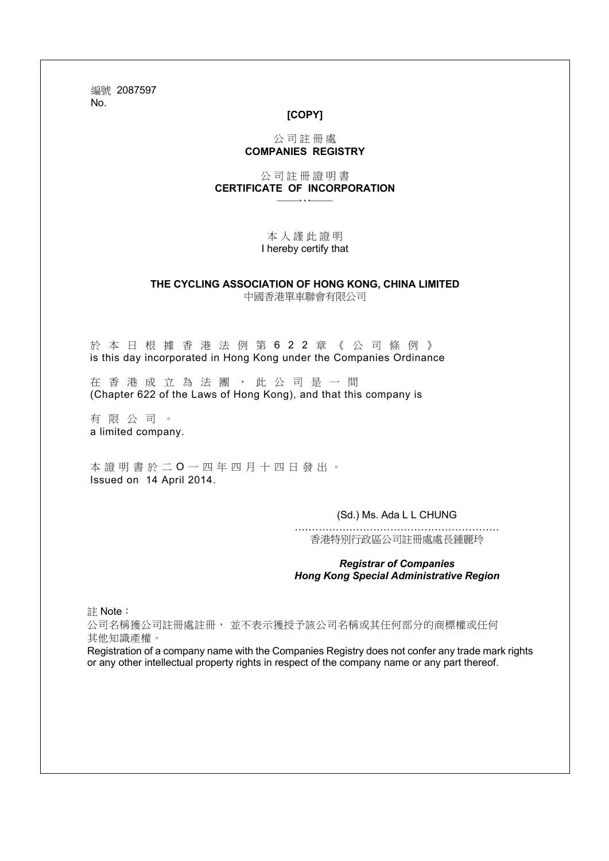編號 2087597 No.

### **[COPY]**

### 公 司 註 冊 處 **COMPANIES REGISTRY**

公 司 註 冊 證 明 書 **CERTIFICATE OF INCORPORATION** \_\_\_\_\_\_\* \* \*\_\_\_\_\_\_

> 本 人 謹 此 證 明 I hereby certify that

#### **THE CYCLING ASSOCIATION OF HONG KONG, CHINA LIMITED** 中國香港單車聯會有限公司

於本日根據香港法例第622章《公司條例》 is this day incorporated in Hong Kong under the Companies Ordinance

在香港成立為法團,此公司是一間 (Chapter 622 of the Laws of Hong Kong), and that this company is

有限公司。 a limited company.

本證明書於 二 O 一 四 年 四 月 十 四 日發出。 Issued on 14 April 2014.

(Sd.) Ms. Ada L L CHUNG

…………………………………………………… 香港特別行政區公司註冊處處長鍾麗玲

*Registrar of Companies Hong Kong Special Administrative Region*

註 Note:

公司名稱獲公司註冊處註冊, 並不表示獲授予該公司名稱或其任何部分的商標權或任何 其他知識產權。

Registration of a company name with the Companies Registry does not confer any trade mark rights or any other intellectual property rights in respect of the company name or any part thereof.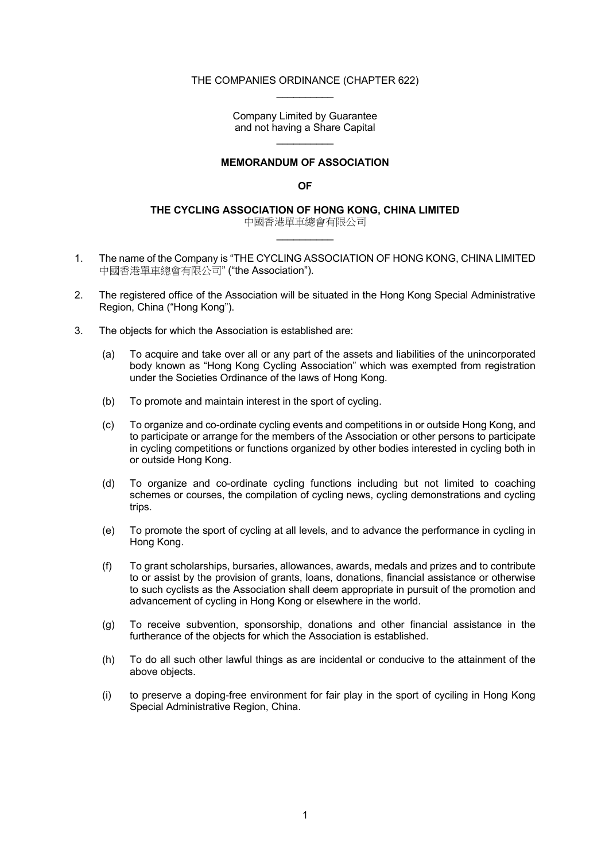#### THE COMPANIES ORDINANCE (CHAPTER 622)  $\frac{1}{2}$

Company Limited by Guarantee and not having a Share Capital  $\mathcal{L}=\mathcal{L}^{\mathcal{L}}$ 

### **MEMORANDUM OF ASSOCIATION**

### **OF**

**THE CYCLING ASSOCIATION OF HONG KONG, CHINA LIMITED**

中國香港單車總會有限公司  $\frac{1}{2}$ 

- 1. The name of the Company is "THE CYCLING ASSOCIATION OF HONG KONG, CHINA LIMITED 中國香港單車總會有限公司" ("the Association").
- 2. The registered office of the Association will be situated in the Hong Kong Special Administrative Region, China ("Hong Kong").
- 3. The objects for which the Association is established are:
	- (a) To acquire and take over all or any part of the assets and liabilities of the unincorporated body known as "Hong Kong Cycling Association" which was exempted from registration under the Societies Ordinance of the laws of Hong Kong.
	- (b) To promote and maintain interest in the sport of cycling.
	- (c) To organize and co-ordinate cycling events and competitions in or outside Hong Kong, and to participate or arrange for the members of the Association or other persons to participate in cycling competitions or functions organized by other bodies interested in cycling both in or outside Hong Kong.
	- (d) To organize and co-ordinate cycling functions including but not limited to coaching schemes or courses, the compilation of cycling news, cycling demonstrations and cycling trips.
	- (e) To promote the sport of cycling at all levels, and to advance the performance in cycling in Hong Kong.
	- (f) To grant scholarships, bursaries, allowances, awards, medals and prizes and to contribute to or assist by the provision of grants, loans, donations, financial assistance or otherwise to such cyclists as the Association shall deem appropriate in pursuit of the promotion and advancement of cycling in Hong Kong or elsewhere in the world.
	- (g) To receive subvention, sponsorship, donations and other financial assistance in the furtherance of the objects for which the Association is established.
	- (h) To do all such other lawful things as are incidental or conducive to the attainment of the above objects.
	- (i) to preserve a doping-free environment for fair play in the sport of cyciling in Hong Kong Special Administrative Region, China.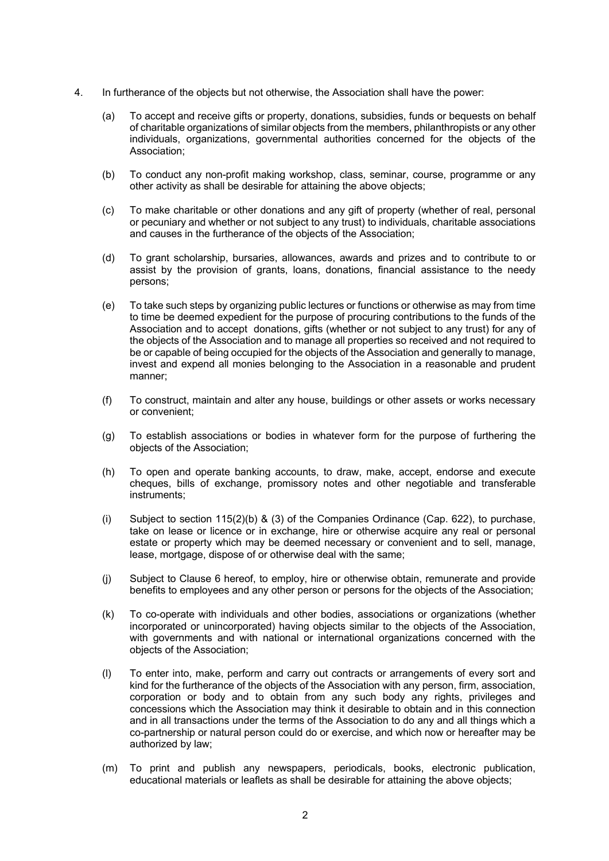- 4. In furtherance of the objects but not otherwise, the Association shall have the power:
	- (a) To accept and receive gifts or property, donations, subsidies, funds or bequests on behalf of charitable organizations of similar objects from the members, philanthropists or any other individuals, organizations, governmental authorities concerned for the objects of the Association;
	- (b) To conduct any non-profit making workshop, class, seminar, course, programme or any other activity as shall be desirable for attaining the above objects;
	- (c) To make charitable or other donations and any gift of property (whether of real, personal or pecuniary and whether or not subject to any trust) to individuals, charitable associations and causes in the furtherance of the objects of the Association;
	- (d) To grant scholarship, bursaries, allowances, awards and prizes and to contribute to or assist by the provision of grants, loans, donations, financial assistance to the needy persons;
	- (e) To take such steps by organizing public lectures or functions or otherwise as may from time to time be deemed expedient for the purpose of procuring contributions to the funds of the Association and to accept donations, gifts (whether or not subject to any trust) for any of the objects of the Association and to manage all properties so received and not required to be or capable of being occupied for the objects of the Association and generally to manage, invest and expend all monies belonging to the Association in a reasonable and prudent manner;
	- (f) To construct, maintain and alter any house, buildings or other assets or works necessary or convenient;
	- (g) To establish associations or bodies in whatever form for the purpose of furthering the objects of the Association;
	- (h) To open and operate banking accounts, to draw, make, accept, endorse and execute cheques, bills of exchange, promissory notes and other negotiable and transferable instruments;
	- (i) Subject to section  $115(2)(b)$  & (3) of the Companies Ordinance (Cap. 622), to purchase, take on lease or licence or in exchange, hire or otherwise acquire any real or personal estate or property which may be deemed necessary or convenient and to sell, manage, lease, mortgage, dispose of or otherwise deal with the same;
	- (j) Subject to Clause 6 hereof, to employ, hire or otherwise obtain, remunerate and provide benefits to employees and any other person or persons for the objects of the Association;
	- (k) To co-operate with individuals and other bodies, associations or organizations (whether incorporated or unincorporated) having objects similar to the objects of the Association, with governments and with national or international organizations concerned with the objects of the Association;
	- (l) To enter into, make, perform and carry out contracts or arrangements of every sort and kind for the furtherance of the objects of the Association with any person, firm, association, corporation or body and to obtain from any such body any rights, privileges and concessions which the Association may think it desirable to obtain and in this connection and in all transactions under the terms of the Association to do any and all things which a co-partnership or natural person could do or exercise, and which now or hereafter may be authorized by law;
	- (m) To print and publish any newspapers, periodicals, books, electronic publication, educational materials or leaflets as shall be desirable for attaining the above objects;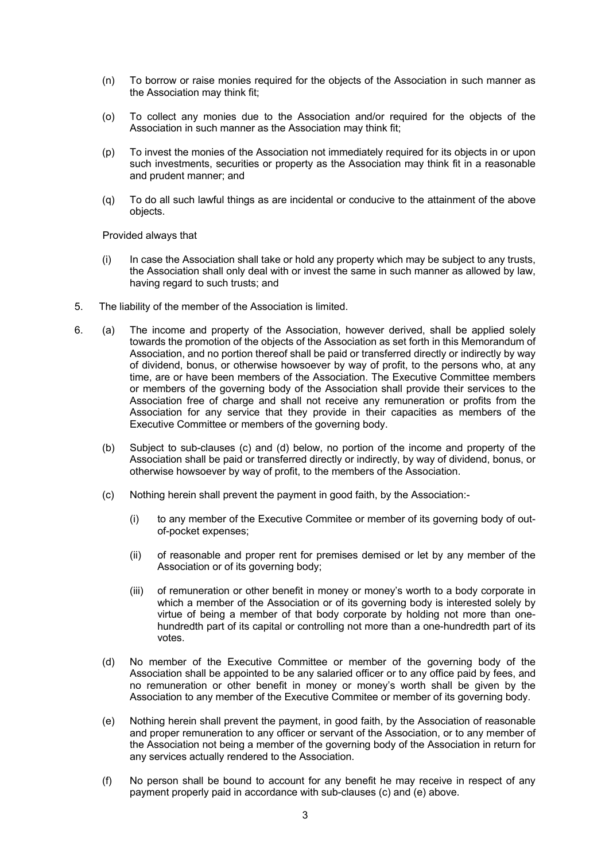- (n) To borrow or raise monies required for the objects of the Association in such manner as the Association may think fit;
- (o) To collect any monies due to the Association and/or required for the objects of the Association in such manner as the Association may think fit;
- (p) To invest the monies of the Association not immediately required for its objects in or upon such investments, securities or property as the Association may think fit in a reasonable and prudent manner; and
- (q) To do all such lawful things as are incidental or conducive to the attainment of the above objects.

Provided always that

- (i) In case the Association shall take or hold any property which may be subject to any trusts, the Association shall only deal with or invest the same in such manner as allowed by law, having regard to such trusts; and
- 5. The liability of the member of the Association is limited.
- 6. (a) The income and property of the Association, however derived, shall be applied solely towards the promotion of the objects of the Association as set forth in this Memorandum of Association, and no portion thereof shall be paid or transferred directly or indirectly by way of dividend, bonus, or otherwise howsoever by way of profit, to the persons who, at any time, are or have been members of the Association. The Executive Committee members or members of the governing body of the Association shall provide their services to the Association free of charge and shall not receive any remuneration or profits from the Association for any service that they provide in their capacities as members of the Executive Committee or members of the governing body.
	- (b) Subject to sub-clauses (c) and (d) below, no portion of the income and property of the Association shall be paid or transferred directly or indirectly, by way of dividend, bonus, or otherwise howsoever by way of profit, to the members of the Association.
	- (c) Nothing herein shall prevent the payment in good faith, by the Association:-
		- (i) to any member of the Executive Commitee or member of its governing body of outof-pocket expenses;
		- (ii) of reasonable and proper rent for premises demised or let by any member of the Association or of its governing body;
		- (iii) of remuneration or other benefit in money or money's worth to a body corporate in which a member of the Association or of its governing body is interested solely by virtue of being a member of that body corporate by holding not more than onehundredth part of its capital or controlling not more than a one-hundredth part of its votes.
	- (d) No member of the Executive Committee or member of the governing body of the Association shall be appointed to be any salaried officer or to any office paid by fees, and no remuneration or other benefit in money or money's worth shall be given by the Association to any member of the Executive Commitee or member of its governing body.
	- (e) Nothing herein shall prevent the payment, in good faith, by the Association of reasonable and proper remuneration to any officer or servant of the Association, or to any member of the Association not being a member of the governing body of the Association in return for any services actually rendered to the Association.
	- (f) No person shall be bound to account for any benefit he may receive in respect of any payment properly paid in accordance with sub-clauses (c) and (e) above.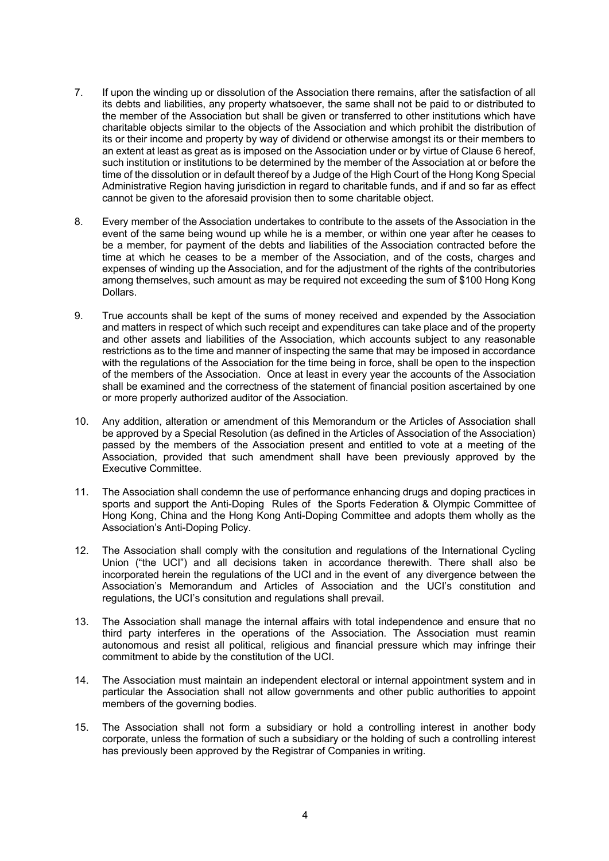- 7. If upon the winding up or dissolution of the Association there remains, after the satisfaction of all its debts and liabilities, any property whatsoever, the same shall not be paid to or distributed to the member of the Association but shall be given or transferred to other institutions which have charitable objects similar to the objects of the Association and which prohibit the distribution of its or their income and property by way of dividend or otherwise amongst its or their members to an extent at least as great as is imposed on the Association under or by virtue of Clause 6 hereof, such institution or institutions to be determined by the member of the Association at or before the time of the dissolution or in default thereof by a Judge of the High Court of the Hong Kong Special Administrative Region having jurisdiction in regard to charitable funds, and if and so far as effect cannot be given to the aforesaid provision then to some charitable object.
- 8. Every member of the Association undertakes to contribute to the assets of the Association in the event of the same being wound up while he is a member, or within one year after he ceases to be a member, for payment of the debts and liabilities of the Association contracted before the time at which he ceases to be a member of the Association, and of the costs, charges and expenses of winding up the Association, and for the adjustment of the rights of the contributories among themselves, such amount as may be required not exceeding the sum of \$100 Hong Kong Dollars.
- 9. True accounts shall be kept of the sums of money received and expended by the Association and matters in respect of which such receipt and expenditures can take place and of the property and other assets and liabilities of the Association, which accounts subject to any reasonable restrictions as to the time and manner of inspecting the same that may be imposed in accordance with the regulations of the Association for the time being in force, shall be open to the inspection of the members of the Association. Once at least in every year the accounts of the Association shall be examined and the correctness of the statement of financial position ascertained by one or more properly authorized auditor of the Association.
- 10. Any addition, alteration or amendment of this Memorandum or the Articles of Association shall be approved by a Special Resolution (as defined in the Articles of Association of the Association) passed by the members of the Association present and entitled to vote at a meeting of the Association, provided that such amendment shall have been previously approved by the Executive Committee.
- 11. The Association shall condemn the use of performance enhancing drugs and doping practices in sports and support the Anti-Doping Rules of the Sports Federation & Olympic Committee of Hong Kong, China and the Hong Kong Anti-Doping Committee and adopts them wholly as the Association's Anti-Doping Policy.
- 12. The Association shall comply with the consitution and regulations of the International Cycling Union ("the UCI") and all decisions taken in accordance therewith. There shall also be incorporated herein the regulations of the UCI and in the event of any divergence between the Association's Memorandum and Articles of Association and the UCI's constitution and regulations, the UCI's consitution and regulations shall prevail.
- 13. The Association shall manage the internal affairs with total independence and ensure that no third party interferes in the operations of the Association. The Association must reamin autonomous and resist all political, religious and financial pressure which may infringe their commitment to abide by the constitution of the UCI.
- 14. The Association must maintain an independent electoral or internal appointment system and in particular the Association shall not allow governments and other public authorities to appoint members of the governing bodies.
- 15. The Association shall not form a subsidiary or hold a controlling interest in another body corporate, unless the formation of such a subsidiary or the holding of such a controlling interest has previously been approved by the Registrar of Companies in writing.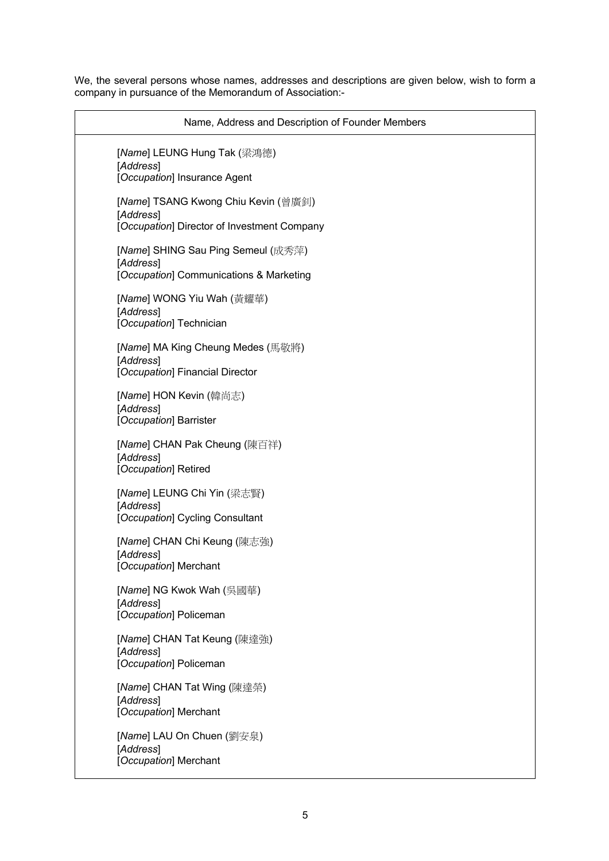We, the several persons whose names, addresses and descriptions are given below, wish to form a company in pursuance of the Memorandum of Association:-

| Name, Address and Description of Founder Members                                                |
|-------------------------------------------------------------------------------------------------|
| [Name] LEUNG Hung Tak (梁鴻德)<br>[Address]<br>[Occupation] Insurance Agent                        |
| [Name] TSANG Kwong Chiu Kevin (曾廣釗)<br>[Address]<br>[Occupation] Director of Investment Company |
| [Name] SHING Sau Ping Semeul (成秀萍)<br>[Address]<br>[Occupation] Communications & Marketing      |
| [Name] WONG Yiu Wah (黃耀華)<br>[Address]<br>[Occupation] Technician                               |
| [Name] MA King Cheung Medes (馬敬將)<br>[Address]<br>[Occupation] Financial Director               |
| [Name] HON Kevin (韓尚志)<br>[Address]<br>[Occupation] Barrister                                   |
| [Name] CHAN Pak Cheung (陳百祥)<br>[Address]<br>[Occupation] Retired                               |
| [Name] LEUNG Chi Yin (梁志賢)<br>[Address]<br>[Occupation] Cycling Consultant                      |
| [Name] CHAN Chi Keung (陳志強)<br>[Address]<br>[Occupation] Merchant                               |
| [Name] NG Kwok Wah (吳國華)<br>[Address]<br>[Occupation] Policeman                                 |
| [Name] CHAN Tat Keung (陳達強)<br>[Address]<br>[Occupation] Policeman                              |
| [Name] CHAN Tat Wing (陳達榮)<br>[Address]<br>[Occupation] Merchant                                |
| [Name] LAU On Chuen (劉安泉)<br>[Address]<br>[Occupation] Merchant                                 |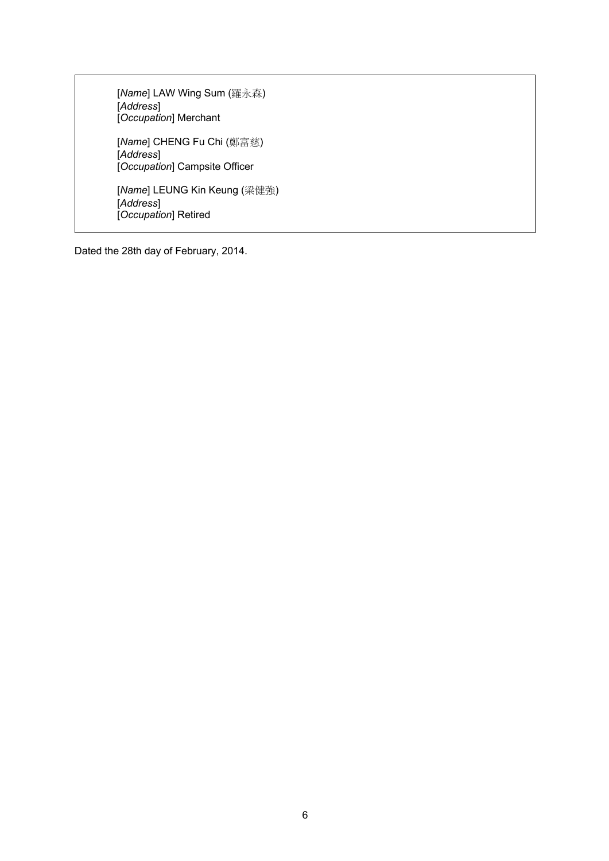[*Name*] LAW Wing Sum (羅永森) [*Address*] [*Occupation*] Merchant [*Name*] CHENG Fu Chi (鄭富慈) [*Address*] [*Occupation*] Campsite Officer [*Name*] LEUNG Kin Keung (梁健強) [*Address*] [*Occupation*] Retired

Dated the 28th day of February, 2014.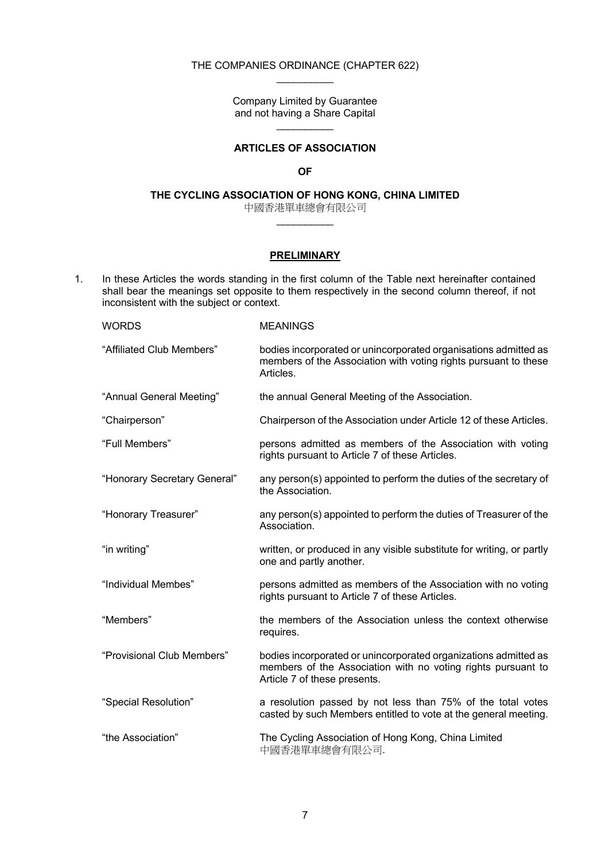#### THE COMPANIES ORDINANCE (CHAPTER 622)  $\frac{1}{2}$

Company Limited by Guarantee and not having a Share Capital  $\frac{1}{2}$ 

# **ARTICLES OF ASSOCIATION**

### **OF**

# **THE CYCLING ASSOCIATION OF HONG KONG, CHINA LIMITED**

中國香港單車總會有限公司  $\frac{1}{2}$ 

### **PRELIMINARY**

1. In these Articles the words standing in the first column of the Table next hereinafter contained shall bear the meanings set opposite to them respectively in the second column thereof, if not inconsistent with the subject or context.

| <b>WORDS</b>                 | <b>MEANINGS</b>                                                                                                                                                 |
|------------------------------|-----------------------------------------------------------------------------------------------------------------------------------------------------------------|
| "Affiliated Club Members"    | bodies incorporated or unincorporated organisations admitted as<br>members of the Association with voting rights pursuant to these<br>Articles.                 |
| "Annual General Meeting"     | the annual General Meeting of the Association.                                                                                                                  |
| "Chairperson"                | Chairperson of the Association under Article 12 of these Articles.                                                                                              |
| "Full Members"               | persons admitted as members of the Association with voting<br>rights pursuant to Article 7 of these Articles.                                                   |
| "Honorary Secretary General" | any person(s) appointed to perform the duties of the secretary of<br>the Association.                                                                           |
| "Honorary Treasurer"         | any person(s) appointed to perform the duties of Treasurer of the<br>Association.                                                                               |
| "in writing"                 | written, or produced in any visible substitute for writing, or partly<br>one and partly another.                                                                |
| "Individual Membes"          | persons admitted as members of the Association with no voting<br>rights pursuant to Article 7 of these Articles.                                                |
| "Members"                    | the members of the Association unless the context otherwise<br>requires.                                                                                        |
| "Provisional Club Members"   | bodies incorporated or unincorporated organizations admitted as<br>members of the Association with no voting rights pursuant to<br>Article 7 of these presents. |
| "Special Resolution"         | a resolution passed by not less than 75% of the total votes<br>casted by such Members entitled to vote at the general meeting.                                  |
| "the Association"            | The Cycling Association of Hong Kong, China Limited<br>中國香港單車總會有限公司.                                                                                            |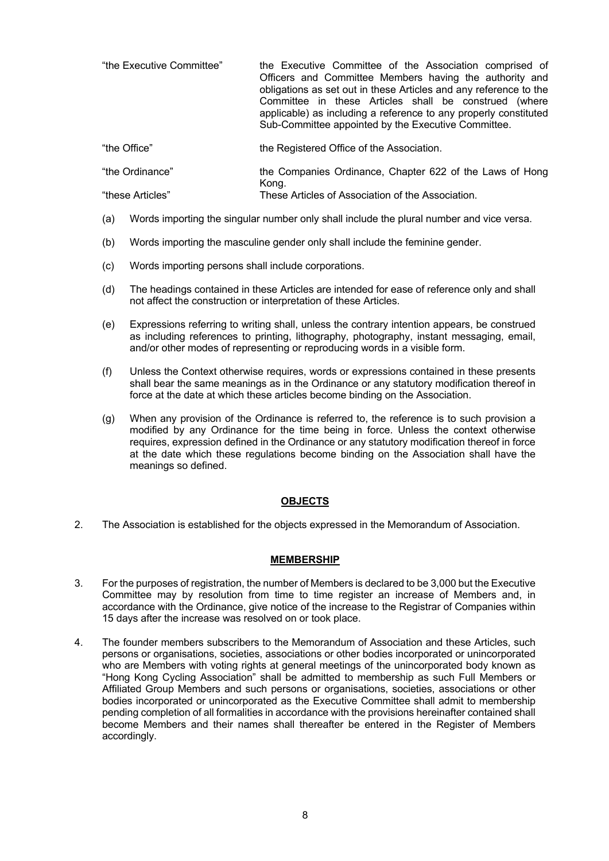| "the Executive Committee" | the Executive Committee of the Association comprised of<br>Officers and Committee Members having the authority and<br>obligations as set out in these Articles and any reference to the<br>Committee in these Articles shall be construed (where<br>applicable) as including a reference to any properly constituted<br>Sub-Committee appointed by the Executive Committee. |
|---------------------------|-----------------------------------------------------------------------------------------------------------------------------------------------------------------------------------------------------------------------------------------------------------------------------------------------------------------------------------------------------------------------------|
| "the Office"              | the Registered Office of the Association.                                                                                                                                                                                                                                                                                                                                   |
| "the Ordinance"           | the Companies Ordinance, Chapter 622 of the Laws of Hong<br>Kong.                                                                                                                                                                                                                                                                                                           |
| "these Articles"          | These Articles of Association of the Association.                                                                                                                                                                                                                                                                                                                           |

- (a) Words importing the singular number only shall include the plural number and vice versa.
- (b) Words importing the masculine gender only shall include the feminine gender.
- (c) Words importing persons shall include corporations.
- (d) The headings contained in these Articles are intended for ease of reference only and shall not affect the construction or interpretation of these Articles.
- (e) Expressions referring to writing shall, unless the contrary intention appears, be construed as including references to printing, lithography, photography, instant messaging, email, and/or other modes of representing or reproducing words in a visible form.
- (f) Unless the Context otherwise requires, words or expressions contained in these presents shall bear the same meanings as in the Ordinance or any statutory modification thereof in force at the date at which these articles become binding on the Association.
- (g) When any provision of the Ordinance is referred to, the reference is to such provision a modified by any Ordinance for the time being in force. Unless the context otherwise requires, expression defined in the Ordinance or any statutory modification thereof in force at the date which these regulations become binding on the Association shall have the meanings so defined.

### **OBJECTS**

2. The Association is established for the objects expressed in the Memorandum of Association.

### **MEMBERSHIP**

- 3. For the purposes of registration, the number of Members is declared to be 3,000 but the Executive Committee may by resolution from time to time register an increase of Members and, in accordance with the Ordinance, give notice of the increase to the Registrar of Companies within 15 days after the increase was resolved on or took place.
- 4. The founder members subscribers to the Memorandum of Association and these Articles, such persons or organisations, societies, associations or other bodies incorporated or unincorporated who are Members with voting rights at general meetings of the unincorporated body known as "Hong Kong Cycling Association" shall be admitted to membership as such Full Members or Affiliated Group Members and such persons or organisations, societies, associations or other bodies incorporated or unincorporated as the Executive Committee shall admit to membership pending completion of all formalities in accordance with the provisions hereinafter contained shall become Members and their names shall thereafter be entered in the Register of Members accordingly.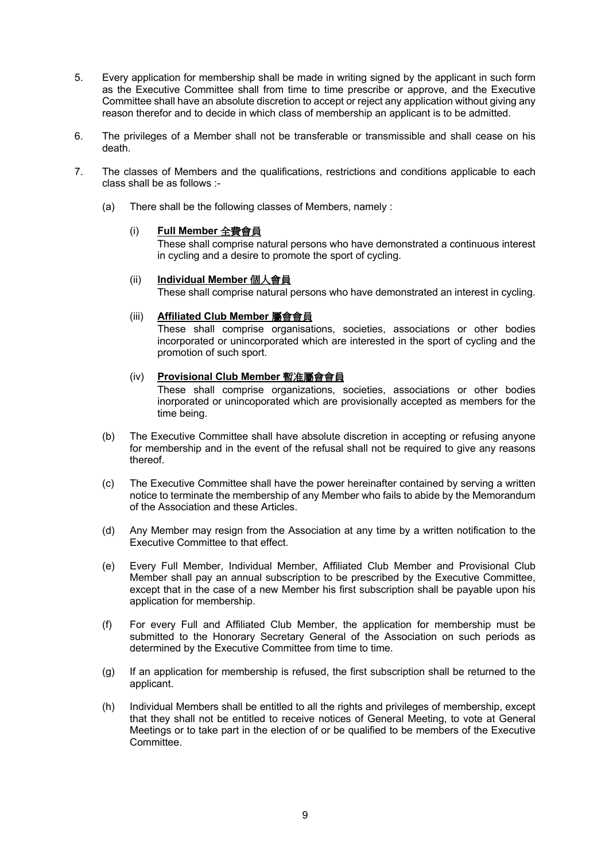- 5. Every application for membership shall be made in writing signed by the applicant in such form as the Executive Committee shall from time to time prescribe or approve, and the Executive Committee shall have an absolute discretion to accept or reject any application without giving any reason therefor and to decide in which class of membership an applicant is to be admitted.
- 6. The privileges of a Member shall not be transferable or transmissible and shall cease on his death.
- 7. The classes of Members and the qualifications, restrictions and conditions applicable to each class shall be as follows :-
	- (a) There shall be the following classes of Members, namely :

### (i) **Full Member** 全費會員

These shall comprise natural persons who have demonstrated a continuous interest in cycling and a desire to promote the sport of cycling.

### (ii) **Individual Member** 個人會員

These shall comprise natural persons who have demonstrated an interest in cycling.

### (iii) **Affiliated Club Member** 屬會會員

These shall comprise organisations, societies, associations or other bodies incorporated or unincorporated which are interested in the sport of cycling and the promotion of such sport.

### (iv) **Provisional Club Member** 暫准屬會會員

These shall comprise organizations, societies, associations or other bodies inorporated or unincoporated which are provisionally accepted as members for the time being.

- (b) The Executive Committee shall have absolute discretion in accepting or refusing anyone for membership and in the event of the refusal shall not be required to give any reasons thereof.
- (c) The Executive Committee shall have the power hereinafter contained by serving a written notice to terminate the membership of any Member who fails to abide by the Memorandum of the Association and these Articles.
- (d) Any Member may resign from the Association at any time by a written notification to the Executive Committee to that effect.
- (e) Every Full Member, Individual Member, Affiliated Club Member and Provisional Club Member shall pay an annual subscription to be prescribed by the Executive Committee, except that in the case of a new Member his first subscription shall be payable upon his application for membership.
- (f) For every Full and Affiliated Club Member, the application for membership must be submitted to the Honorary Secretary General of the Association on such periods as determined by the Executive Committee from time to time.
- (g) If an application for membership is refused, the first subscription shall be returned to the applicant.
- (h) Individual Members shall be entitled to all the rights and privileges of membership, except that they shall not be entitled to receive notices of General Meeting, to vote at General Meetings or to take part in the election of or be qualified to be members of the Executive Committee.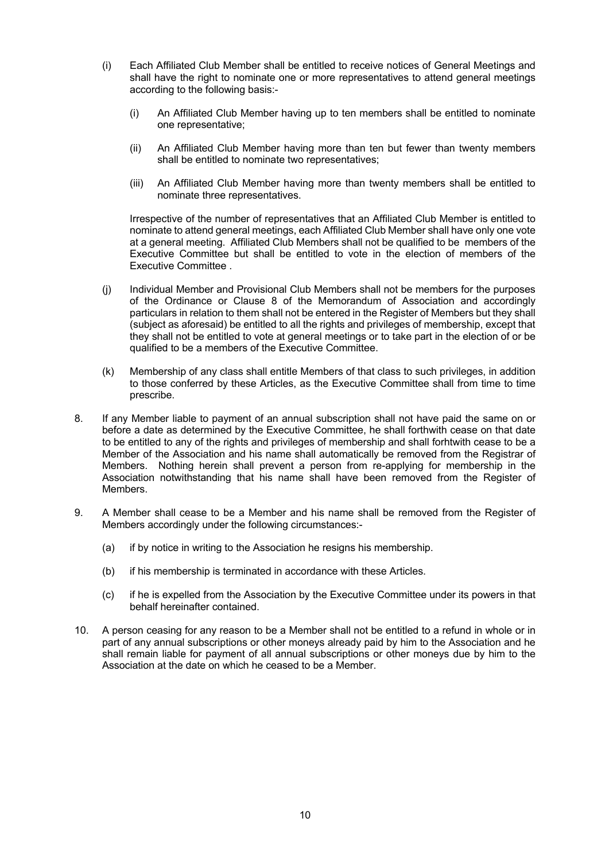- (i) Each Affiliated Club Member shall be entitled to receive notices of General Meetings and shall have the right to nominate one or more representatives to attend general meetings according to the following basis:-
	- (i) An Affiliated Club Member having up to ten members shall be entitled to nominate one representative;
	- (ii) An Affiliated Club Member having more than ten but fewer than twenty members shall be entitled to nominate two representatives;
	- (iii) An Affiliated Club Member having more than twenty members shall be entitled to nominate three representatives.

Irrespective of the number of representatives that an Affiliated Club Member is entitled to nominate to attend general meetings, each Affiliated Club Member shall have only one vote at a general meeting. Affiliated Club Members shall not be qualified to be members of the Executive Committee but shall be entitled to vote in the election of members of the Executive Committee .

- (j) Individual Member and Provisional Club Members shall not be members for the purposes of the Ordinance or Clause 8 of the Memorandum of Association and accordingly particulars in relation to them shall not be entered in the Register of Members but they shall (subject as aforesaid) be entitled to all the rights and privileges of membership, except that they shall not be entitled to vote at general meetings or to take part in the election of or be qualified to be a members of the Executive Committee.
- (k) Membership of any class shall entitle Members of that class to such privileges, in addition to those conferred by these Articles, as the Executive Committee shall from time to time prescribe.
- 8. If any Member liable to payment of an annual subscription shall not have paid the same on or before a date as determined by the Executive Committee, he shall forthwith cease on that date to be entitled to any of the rights and privileges of membership and shall forhtwith cease to be a Member of the Association and his name shall automatically be removed from the Registrar of Members. Nothing herein shall prevent a person from re-applying for membership in the Association notwithstanding that his name shall have been removed from the Register of **Members**
- 9. A Member shall cease to be a Member and his name shall be removed from the Register of Members accordingly under the following circumstances:-
	- (a) if by notice in writing to the Association he resigns his membership.
	- (b) if his membership is terminated in accordance with these Articles.
	- (c) if he is expelled from the Association by the Executive Committee under its powers in that behalf hereinafter contained.
- 10. A person ceasing for any reason to be a Member shall not be entitled to a refund in whole or in part of any annual subscriptions or other moneys already paid by him to the Association and he shall remain liable for payment of all annual subscriptions or other moneys due by him to the Association at the date on which he ceased to be a Member.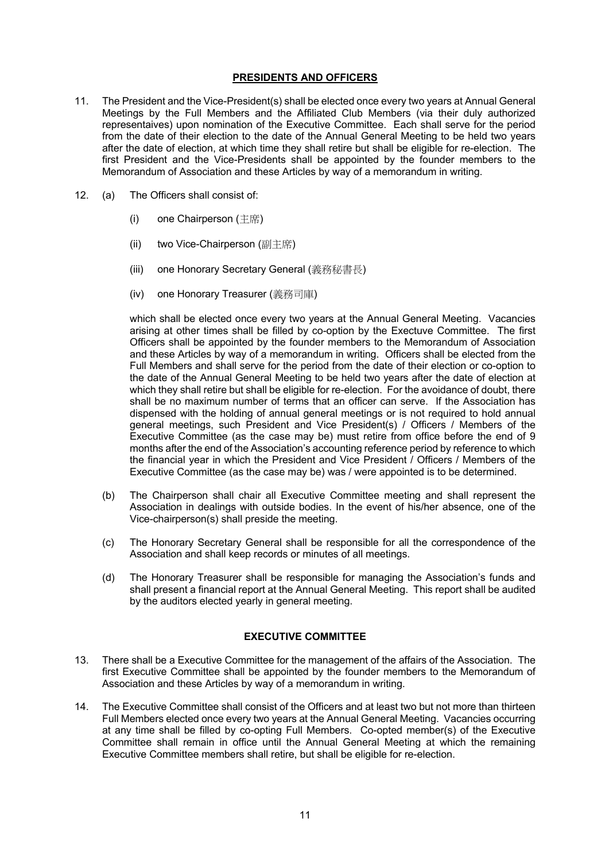### **PRESIDENTS AND OFFICERS**

- 11. The President and the Vice-President(s) shall be elected once every two years at Annual General Meetings by the Full Members and the Affiliated Club Members (via their duly authorized representaives) upon nomination of the Executive Committee. Each shall serve for the period from the date of their election to the date of the Annual General Meeting to be held two years after the date of election, at which time they shall retire but shall be eligible for re-election. The first President and the Vice-Presidents shall be appointed by the founder members to the Memorandum of Association and these Articles by way of a memorandum in writing.
- 12. (a) The Officers shall consist of:
	- (i) one Chairperson (主席)
	- (ii) two Vice-Chairperson (副主席)
	- (iii) one Honorary Secretary General (義務秘書長)
	- (iv) one Honorary Treasurer (義務司庫)

which shall be elected once every two years at the Annual General Meeting. Vacancies arising at other times shall be filled by co-option by the Exectuve Committee. The first Officers shall be appointed by the founder members to the Memorandum of Association and these Articles by way of a memorandum in writing. Officers shall be elected from the Full Members and shall serve for the period from the date of their election or co-option to the date of the Annual General Meeting to be held two years after the date of election at which they shall retire but shall be eligible for re-election. For the avoidance of doubt, there shall be no maximum number of terms that an officer can serve. If the Association has dispensed with the holding of annual general meetings or is not required to hold annual general meetings, such President and Vice President(s) / Officers / Members of the Executive Committee (as the case may be) must retire from office before the end of 9 months after the end of the Association's accounting reference period by reference to which the financial year in which the President and Vice President / Officers / Members of the Executive Committee (as the case may be) was / were appointed is to be determined.

- (b) The Chairperson shall chair all Executive Committee meeting and shall represent the Association in dealings with outside bodies. In the event of his/her absence, one of the Vice-chairperson(s) shall preside the meeting.
- (c) The Honorary Secretary General shall be responsible for all the correspondence of the Association and shall keep records or minutes of all meetings.
- (d) The Honorary Treasurer shall be responsible for managing the Association's funds and shall present a financial report at the Annual General Meeting. This report shall be audited by the auditors elected yearly in general meeting.

# **EXECUTIVE COMMITTEE**

- 13. There shall be a Executive Committee for the management of the affairs of the Association. The first Executive Committee shall be appointed by the founder members to the Memorandum of Association and these Articles by way of a memorandum in writing.
- 14. The Executive Committee shall consist of the Officers and at least two but not more than thirteen Full Members elected once every two years at the Annual General Meeting. Vacancies occurring at any time shall be filled by co-opting Full Members. Co-opted member(s) of the Executive Committee shall remain in office until the Annual General Meeting at which the remaining Executive Committee members shall retire, but shall be eligible for re-election.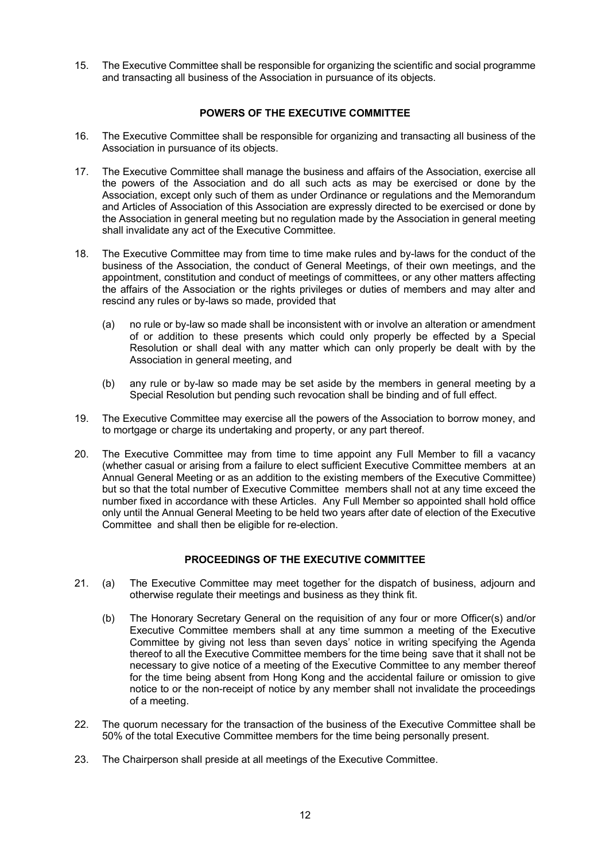15. The Executive Committee shall be responsible for organizing the scientific and social programme and transacting all business of the Association in pursuance of its objects.

### **POWERS OF THE EXECUTIVE COMMITTEE**

- 16. The Executive Committee shall be responsible for organizing and transacting all business of the Association in pursuance of its objects.
- 17. The Executive Committee shall manage the business and affairs of the Association, exercise all the powers of the Association and do all such acts as may be exercised or done by the Association, except only such of them as under Ordinance or regulations and the Memorandum and Articles of Association of this Association are expressly directed to be exercised or done by the Association in general meeting but no regulation made by the Association in general meeting shall invalidate any act of the Executive Committee.
- 18. The Executive Committee may from time to time make rules and by-laws for the conduct of the business of the Association, the conduct of General Meetings, of their own meetings, and the appointment, constitution and conduct of meetings of committees, or any other matters affecting the affairs of the Association or the rights privileges or duties of members and may alter and rescind any rules or by-laws so made, provided that
	- (a) no rule or by-law so made shall be inconsistent with or involve an alteration or amendment of or addition to these presents which could only properly be effected by a Special Resolution or shall deal with any matter which can only properly be dealt with by the Association in general meeting, and
	- (b) any rule or by-law so made may be set aside by the members in general meeting by a Special Resolution but pending such revocation shall be binding and of full effect.
- 19. The Executive Committee may exercise all the powers of the Association to borrow money, and to mortgage or charge its undertaking and property, or any part thereof.
- 20. The Executive Committee may from time to time appoint any Full Member to fill a vacancy (whether casual or arising from a failure to elect sufficient Executive Committee members at an Annual General Meeting or as an addition to the existing members of the Executive Committee) but so that the total number of Executive Committee members shall not at any time exceed the number fixed in accordance with these Articles. Any Full Member so appointed shall hold office only until the Annual General Meeting to be held two years after date of election of the Executive Committee and shall then be eligible for re-election.

### **PROCEEDINGS OF THE EXECUTIVE COMMITTEE**

- 21. (a) The Executive Committee may meet together for the dispatch of business, adjourn and otherwise regulate their meetings and business as they think fit.
	- (b) The Honorary Secretary General on the requisition of any four or more Officer(s) and/or Executive Committee members shall at any time summon a meeting of the Executive Committee by giving not less than seven days' notice in writing specifying the Agenda thereof to all the Executive Committee members for the time being save that it shall not be necessary to give notice of a meeting of the Executive Committee to any member thereof for the time being absent from Hong Kong and the accidental failure or omission to give notice to or the non-receipt of notice by any member shall not invalidate the proceedings of a meeting.
- 22. The quorum necessary for the transaction of the business of the Executive Committee shall be 50% of the total Executive Committee members for the time being personally present.
- 23. The Chairperson shall preside at all meetings of the Executive Committee.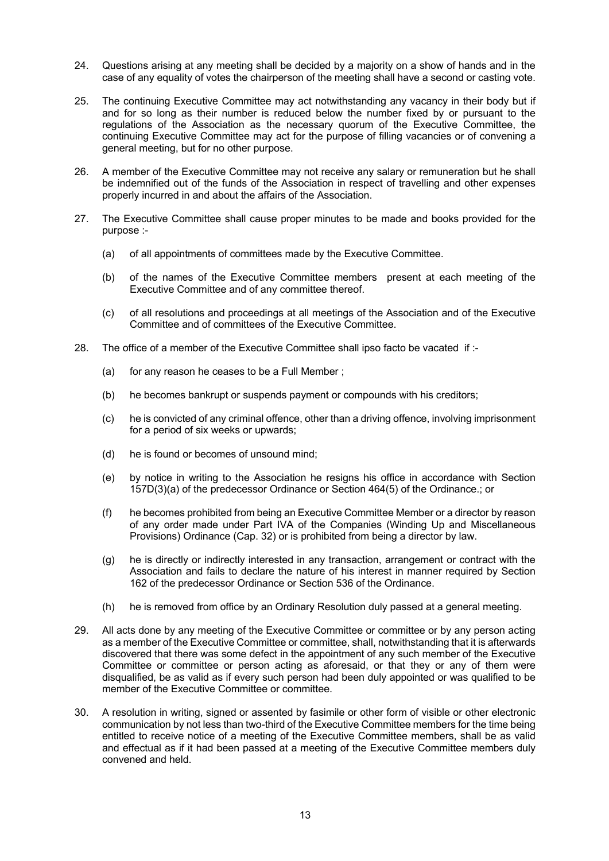- 24. Questions arising at any meeting shall be decided by a majority on a show of hands and in the case of any equality of votes the chairperson of the meeting shall have a second or casting vote.
- 25. The continuing Executive Committee may act notwithstanding any vacancy in their body but if and for so long as their number is reduced below the number fixed by or pursuant to the regulations of the Association as the necessary quorum of the Executive Committee, the continuing Executive Committee may act for the purpose of filling vacancies or of convening a general meeting, but for no other purpose.
- 26. A member of the Executive Committee may not receive any salary or remuneration but he shall be indemnified out of the funds of the Association in respect of travelling and other expenses properly incurred in and about the affairs of the Association.
- 27. The Executive Committee shall cause proper minutes to be made and books provided for the purpose :-
	- (a) of all appointments of committees made by the Executive Committee.
	- (b) of the names of the Executive Committee members present at each meeting of the Executive Committee and of any committee thereof.
	- (c) of all resolutions and proceedings at all meetings of the Association and of the Executive Committee and of committees of the Executive Committee.
- 28. The office of a member of the Executive Committee shall ipso facto be vacated if :-
	- (a) for any reason he ceases to be a Full Member ;
	- (b) he becomes bankrupt or suspends payment or compounds with his creditors;
	- (c) he is convicted of any criminal offence, other than a driving offence, involving imprisonment for a period of six weeks or upwards;
	- (d) he is found or becomes of unsound mind;
	- (e) by notice in writing to the Association he resigns his office in accordance with Section 157D(3)(a) of the predecessor Ordinance or Section 464(5) of the Ordinance.; or
	- (f) he becomes prohibited from being an Executive Committee Member or a director by reason of any order made under Part IVA of the Companies (Winding Up and Miscellaneous Provisions) Ordinance (Cap. 32) or is prohibited from being a director by law.
	- (g) he is directly or indirectly interested in any transaction, arrangement or contract with the Association and fails to declare the nature of his interest in manner required by Section 162 of the predecessor Ordinance or Section 536 of the Ordinance.
	- (h) he is removed from office by an Ordinary Resolution duly passed at a general meeting.
- 29. All acts done by any meeting of the Executive Committee or committee or by any person acting as a member of the Executive Committee or committee, shall, notwithstanding that it is afterwards discovered that there was some defect in the appointment of any such member of the Executive Committee or committee or person acting as aforesaid, or that they or any of them were disqualified, be as valid as if every such person had been duly appointed or was qualified to be member of the Executive Committee or committee.
- 30. A resolution in writing, signed or assented by fasimile or other form of visible or other electronic communication by not less than two-third of the Executive Committee members for the time being entitled to receive notice of a meeting of the Executive Committee members, shall be as valid and effectual as if it had been passed at a meeting of the Executive Committee members duly convened and held.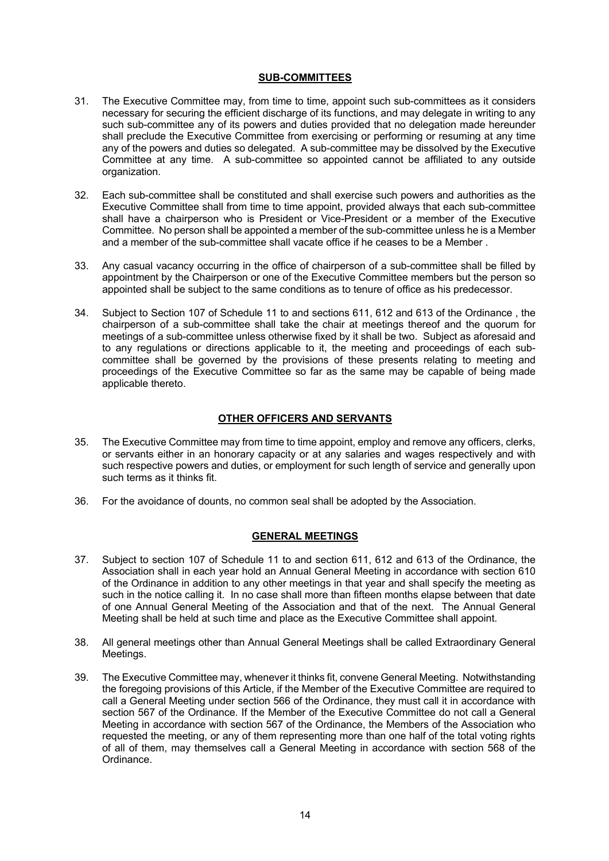### **SUB-COMMITTEES**

- 31. The Executive Committee may, from time to time, appoint such sub-committees as it considers necessary for securing the efficient discharge of its functions, and may delegate in writing to any such sub-committee any of its powers and duties provided that no delegation made hereunder shall preclude the Executive Committee from exercising or performing or resuming at any time any of the powers and duties so delegated. A sub-committee may be dissolved by the Executive Committee at any time. A sub-committee so appointed cannot be affiliated to any outside organization.
- 32. Each sub-committee shall be constituted and shall exercise such powers and authorities as the Executive Committee shall from time to time appoint, provided always that each sub-committee shall have a chairperson who is President or Vice-President or a member of the Executive Committee. No person shall be appointed a member of the sub-committee unless he is a Member and a member of the sub-committee shall vacate office if he ceases to be a Member .
- 33. Any casual vacancy occurring in the office of chairperson of a sub-committee shall be filled by appointment by the Chairperson or one of the Executive Committee members but the person so appointed shall be subject to the same conditions as to tenure of office as his predecessor.
- 34. Subject to Section 107 of Schedule 11 to and sections 611, 612 and 613 of the Ordinance , the chairperson of a sub-committee shall take the chair at meetings thereof and the quorum for meetings of a sub-committee unless otherwise fixed by it shall be two. Subject as aforesaid and to any regulations or directions applicable to it, the meeting and proceedings of each subcommittee shall be governed by the provisions of these presents relating to meeting and proceedings of the Executive Committee so far as the same may be capable of being made applicable thereto.

# **OTHER OFFICERS AND SERVANTS**

- 35. The Executive Committee may from time to time appoint, employ and remove any officers, clerks, or servants either in an honorary capacity or at any salaries and wages respectively and with such respective powers and duties, or employment for such length of service and generally upon such terms as it thinks fit.
- 36. For the avoidance of dounts, no common seal shall be adopted by the Association.

### **GENERAL MEETINGS**

- 37. Subject to section 107 of Schedule 11 to and section 611, 612 and 613 of the Ordinance, the Association shall in each year hold an Annual General Meeting in accordance with section 610 of the Ordinance in addition to any other meetings in that year and shall specify the meeting as such in the notice calling it. In no case shall more than fifteen months elapse between that date of one Annual General Meeting of the Association and that of the next. The Annual General Meeting shall be held at such time and place as the Executive Committee shall appoint.
- 38. All general meetings other than Annual General Meetings shall be called Extraordinary General Meetings.
- 39. The Executive Committee may, whenever it thinks fit, convene General Meeting. Notwithstanding the foregoing provisions of this Article, if the Member of the Executive Committee are required to call a General Meeting under section 566 of the Ordinance, they must call it in accordance with section 567 of the Ordinance. If the Member of the Executive Committee do not call a General Meeting in accordance with section 567 of the Ordinance, the Members of the Association who requested the meeting, or any of them representing more than one half of the total voting rights of all of them, may themselves call a General Meeting in accordance with section 568 of the Ordinance.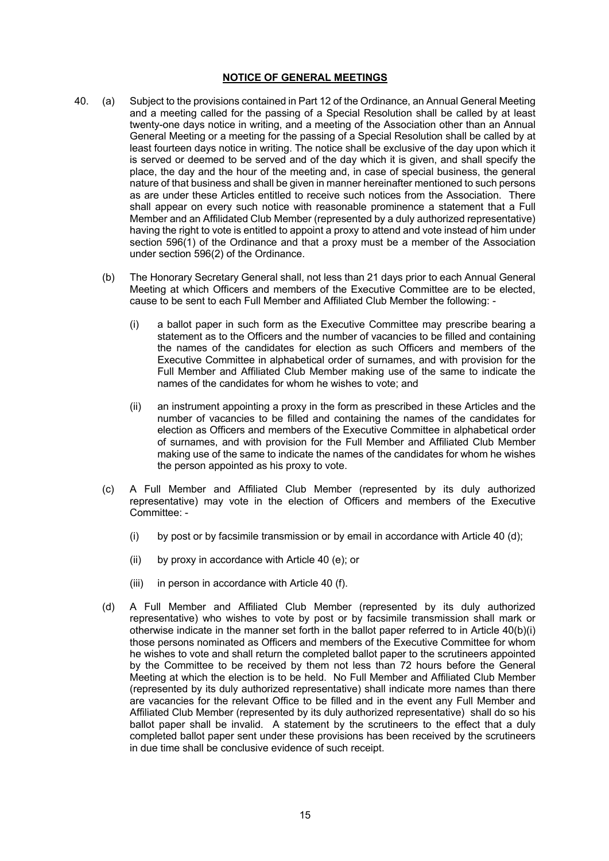### **NOTICE OF GENERAL MEETINGS**

- 40. (a) Subject to the provisions contained in Part 12 of the Ordinance, an Annual General Meeting and a meeting called for the passing of a Special Resolution shall be called by at least twenty-one days notice in writing, and a meeting of the Association other than an Annual General Meeting or a meeting for the passing of a Special Resolution shall be called by at least fourteen days notice in writing. The notice shall be exclusive of the day upon which it is served or deemed to be served and of the day which it is given, and shall specify the place, the day and the hour of the meeting and, in case of special business, the general nature of that business and shall be given in manner hereinafter mentioned to such persons as are under these Articles entitled to receive such notices from the Association. There shall appear on every such notice with reasonable prominence a statement that a Full Member and an Affilidated Club Member (represented by a duly authorized representative) having the right to vote is entitled to appoint a proxy to attend and vote instead of him under section 596(1) of the Ordinance and that a proxy must be a member of the Association under section 596(2) of the Ordinance.
	- (b) The Honorary Secretary General shall, not less than 21 days prior to each Annual General Meeting at which Officers and members of the Executive Committee are to be elected, cause to be sent to each Full Member and Affiliated Club Member the following: -
		- (i) a ballot paper in such form as the Executive Committee may prescribe bearing a statement as to the Officers and the number of vacancies to be filled and containing the names of the candidates for election as such Officers and members of the Executive Committee in alphabetical order of surnames, and with provision for the Full Member and Affiliated Club Member making use of the same to indicate the names of the candidates for whom he wishes to vote; and
		- (ii) an instrument appointing a proxy in the form as prescribed in these Articles and the number of vacancies to be filled and containing the names of the candidates for election as Officers and members of the Executive Committee in alphabetical order of surnames, and with provision for the Full Member and Affiliated Club Member making use of the same to indicate the names of the candidates for whom he wishes the person appointed as his proxy to vote.
	- (c) A Full Member and Affiliated Club Member (represented by its duly authorized representative) may vote in the election of Officers and members of the Executive Committee: -
		- (i) by post or by facsimile transmission or by email in accordance with Article 40 (d);
		- (ii) by proxy in accordance with Article 40 (e); or
		- (iii) in person in accordance with Article 40 (f).
	- (d) A Full Member and Affiliated Club Member (represented by its duly authorized representative) who wishes to vote by post or by facsimile transmission shall mark or otherwise indicate in the manner set forth in the ballot paper referred to in Article 40(b)(i) those persons nominated as Officers and members of the Executive Committee for whom he wishes to vote and shall return the completed ballot paper to the scrutineers appointed by the Committee to be received by them not less than 72 hours before the General Meeting at which the election is to be held. No Full Member and Affiliated Club Member (represented by its duly authorized representative) shall indicate more names than there are vacancies for the relevant Office to be filled and in the event any Full Member and Affiliated Club Member (represented by its duly authorized representative) shall do so his ballot paper shall be invalid. A statement by the scrutineers to the effect that a duly completed ballot paper sent under these provisions has been received by the scrutineers in due time shall be conclusive evidence of such receipt.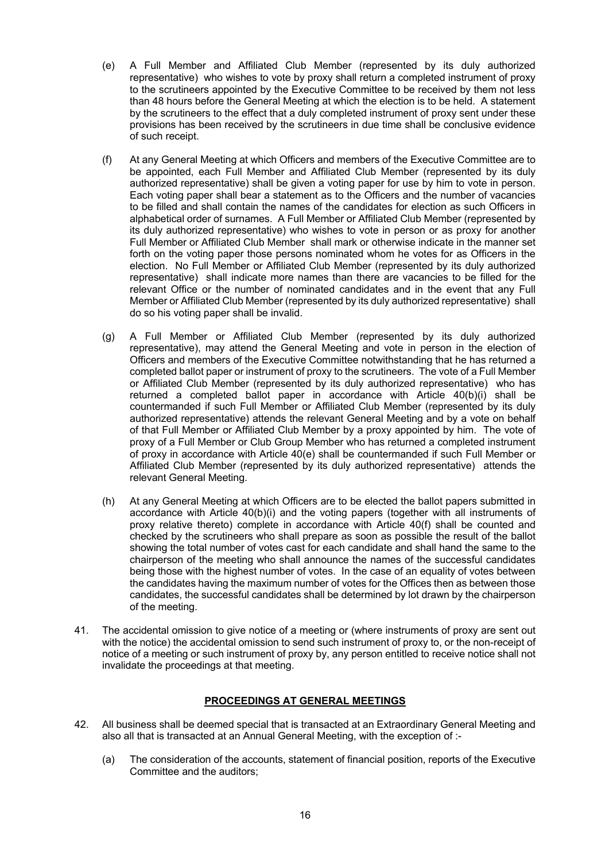- (e) A Full Member and Affiliated Club Member (represented by its duly authorized representative) who wishes to vote by proxy shall return a completed instrument of proxy to the scrutineers appointed by the Executive Committee to be received by them not less than 48 hours before the General Meeting at which the election is to be held. A statement by the scrutineers to the effect that a duly completed instrument of proxy sent under these provisions has been received by the scrutineers in due time shall be conclusive evidence of such receipt.
- (f) At any General Meeting at which Officers and members of the Executive Committee are to be appointed, each Full Member and Affiliated Club Member (represented by its duly authorized representative) shall be given a voting paper for use by him to vote in person. Each voting paper shall bear a statement as to the Officers and the number of vacancies to be filled and shall contain the names of the candidates for election as such Officers in alphabetical order of surnames. A Full Member or Affiliated Club Member (represented by its duly authorized representative) who wishes to vote in person or as proxy for another Full Member or Affiliated Club Member shall mark or otherwise indicate in the manner set forth on the voting paper those persons nominated whom he votes for as Officers in the election. No Full Member or Affiliated Club Member (represented by its duly authorized representative) shall indicate more names than there are vacancies to be filled for the relevant Office or the number of nominated candidates and in the event that any Full Member or Affiliated Club Member (represented by its duly authorized representative) shall do so his voting paper shall be invalid.
- (g) A Full Member or Affiliated Club Member (represented by its duly authorized representative), may attend the General Meeting and vote in person in the election of Officers and members of the Executive Committee notwithstanding that he has returned a completed ballot paper or instrument of proxy to the scrutineers. The vote of a Full Member or Affiliated Club Member (represented by its duly authorized representative) who has returned a completed ballot paper in accordance with Article 40(b)(i) shall be countermanded if such Full Member or Affiliated Club Member (represented by its duly authorized representative) attends the relevant General Meeting and by a vote on behalf of that Full Member or Affiliated Club Member by a proxy appointed by him. The vote of proxy of a Full Member or Club Group Member who has returned a completed instrument of proxy in accordance with Article 40(e) shall be countermanded if such Full Member or Affiliated Club Member (represented by its duly authorized representative) attends the relevant General Meeting.
- (h) At any General Meeting at which Officers are to be elected the ballot papers submitted in accordance with Article  $40(b)(i)$  and the voting papers (together with all instruments of proxy relative thereto) complete in accordance with Article 40(f) shall be counted and checked by the scrutineers who shall prepare as soon as possible the result of the ballot showing the total number of votes cast for each candidate and shall hand the same to the chairperson of the meeting who shall announce the names of the successful candidates being those with the highest number of votes. In the case of an equality of votes between the candidates having the maximum number of votes for the Offices then as between those candidates, the successful candidates shall be determined by lot drawn by the chairperson of the meeting.
- 41. The accidental omission to give notice of a meeting or (where instruments of proxy are sent out with the notice) the accidental omission to send such instrument of proxy to, or the non-receipt of notice of a meeting or such instrument of proxy by, any person entitled to receive notice shall not invalidate the proceedings at that meeting.

### **PROCEEDINGS AT GENERAL MEETINGS**

- 42. All business shall be deemed special that is transacted at an Extraordinary General Meeting and also all that is transacted at an Annual General Meeting, with the exception of :-
	- (a) The consideration of the accounts, statement of financial position, reports of the Executive Committee and the auditors;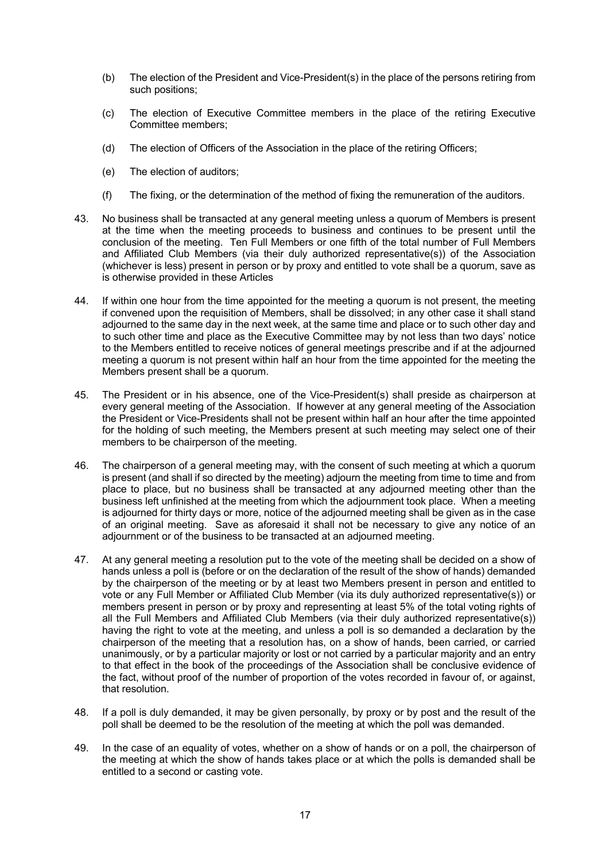- (b) The election of the President and Vice-President(s) in the place of the persons retiring from such positions;
- (c) The election of Executive Committee members in the place of the retiring Executive Committee members;
- (d) The election of Officers of the Association in the place of the retiring Officers;
- (e) The election of auditors;
- (f) The fixing, or the determination of the method of fixing the remuneration of the auditors.
- 43. No business shall be transacted at any general meeting unless a quorum of Members is present at the time when the meeting proceeds to business and continues to be present until the conclusion of the meeting. Ten Full Members or one fifth of the total number of Full Members and Affiliated Club Members (via their duly authorized representative(s)) of the Association (whichever is less) present in person or by proxy and entitled to vote shall be a quorum, save as is otherwise provided in these Articles
- 44. If within one hour from the time appointed for the meeting a quorum is not present, the meeting if convened upon the requisition of Members, shall be dissolved; in any other case it shall stand adjourned to the same day in the next week, at the same time and place or to such other day and to such other time and place as the Executive Committee may by not less than two days' notice to the Members entitled to receive notices of general meetings prescribe and if at the adjourned meeting a quorum is not present within half an hour from the time appointed for the meeting the Members present shall be a quorum.
- 45. The President or in his absence, one of the Vice-President(s) shall preside as chairperson at every general meeting of the Association. If however at any general meeting of the Association the President or Vice-Presidents shall not be present within half an hour after the time appointed for the holding of such meeting, the Members present at such meeting may select one of their members to be chairperson of the meeting.
- 46. The chairperson of a general meeting may, with the consent of such meeting at which a quorum is present (and shall if so directed by the meeting) adjourn the meeting from time to time and from place to place, but no business shall be transacted at any adjourned meeting other than the business left unfinished at the meeting from which the adjournment took place. When a meeting is adjourned for thirty days or more, notice of the adjourned meeting shall be given as in the case of an original meeting. Save as aforesaid it shall not be necessary to give any notice of an adjournment or of the business to be transacted at an adjourned meeting.
- 47. At any general meeting a resolution put to the vote of the meeting shall be decided on a show of hands unless a poll is (before or on the declaration of the result of the show of hands) demanded by the chairperson of the meeting or by at least two Members present in person and entitled to vote or any Full Member or Affiliated Club Member (via its duly authorized representative(s)) or members present in person or by proxy and representing at least 5% of the total voting rights of all the Full Members and Affiliated Club Members (via their duly authorized representative(s)) having the right to vote at the meeting, and unless a poll is so demanded a declaration by the chairperson of the meeting that a resolution has, on a show of hands, been carried, or carried unanimously, or by a particular majority or lost or not carried by a particular majority and an entry to that effect in the book of the proceedings of the Association shall be conclusive evidence of the fact, without proof of the number of proportion of the votes recorded in favour of, or against, that resolution.
- 48. If a poll is duly demanded, it may be given personally, by proxy or by post and the result of the poll shall be deemed to be the resolution of the meeting at which the poll was demanded.
- 49. In the case of an equality of votes, whether on a show of hands or on a poll, the chairperson of the meeting at which the show of hands takes place or at which the polls is demanded shall be entitled to a second or casting vote.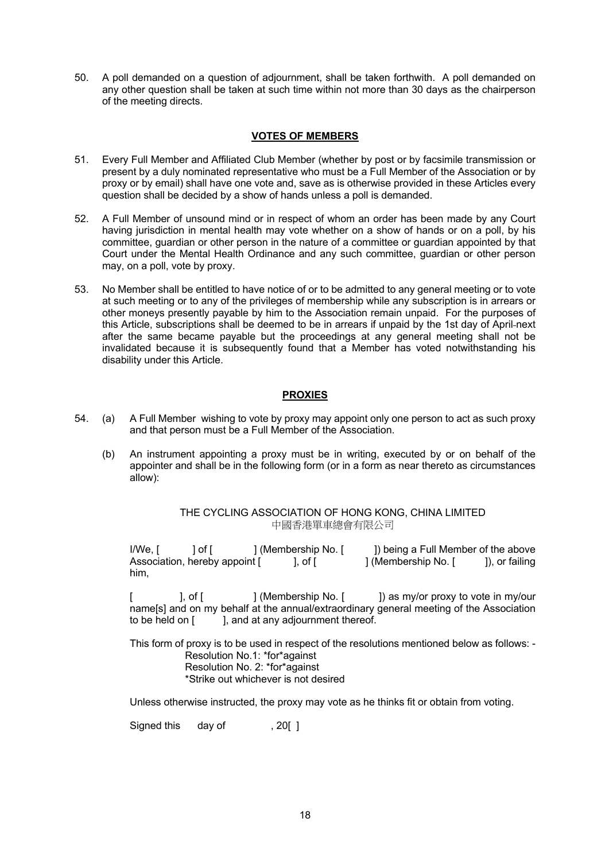50. A poll demanded on a question of adjournment, shall be taken forthwith. A poll demanded on any other question shall be taken at such time within not more than 30 days as the chairperson of the meeting directs.

### **VOTES OF MEMBERS**

- 51. Every Full Member and Affiliated Club Member (whether by post or by facsimile transmission or present by a duly nominated representative who must be a Full Member of the Association or by proxy or by email) shall have one vote and, save as is otherwise provided in these Articles every question shall be decided by a show of hands unless a poll is demanded.
- 52. A Full Member of unsound mind or in respect of whom an order has been made by any Court having jurisdiction in mental health may vote whether on a show of hands or on a poll, by his committee, guardian or other person in the nature of a committee or guardian appointed by that Court under the Mental Health Ordinance and any such committee, guardian or other person may, on a poll, vote by proxy.
- 53. No Member shall be entitled to have notice of or to be admitted to any general meeting or to vote at such meeting or to any of the privileges of membership while any subscription is in arrears or other moneys presently payable by him to the Association remain unpaid. For the purposes of this Article, subscriptions shall be deemed to be in arrears if unpaid by the 1st day of April next after the same became payable but the proceedings at any general meeting shall not be invalidated because it is subsequently found that a Member has voted notwithstanding his disability under this Article.

### **PROXIES**

- 54. (a) A Full Member wishing to vote by proxy may appoint only one person to act as such proxy and that person must be a Full Member of the Association.
	- (b) An instrument appointing a proxy must be in writing, executed by or on behalf of the appointer and shall be in the following form (or in a form as near thereto as circumstances allow):

THE CYCLING ASSOCIATION OF HONG KONG, CHINA LIMITED 中國香港單車總會有限公司

I/We, [ ] of [ ] (Membership No. [ ]) being a Full Member of the above Association, hereby appoint [ ], of [ ] (Membership No. [ ]), or failing him,

], of  $\lceil$  [  $\lceil$   $\rceil$  (Membership No.  $\lceil$   $\rceil$ ) as my/or proxy to vote in my/our name[s] and on my behalf at the annual/extraordinary general meeting of the Association to be held on  $\begin{bmatrix} 1 \\ 1 \end{bmatrix}$ , and at any adjournment thereof.

This form of proxy is to be used in respect of the resolutions mentioned below as follows: - Resolution No.1: \*for\*against Resolution No. 2: \*for\*against \*Strike out whichever is not desired

Unless otherwise instructed, the proxy may vote as he thinks fit or obtain from voting.

Signed this day of . 201 1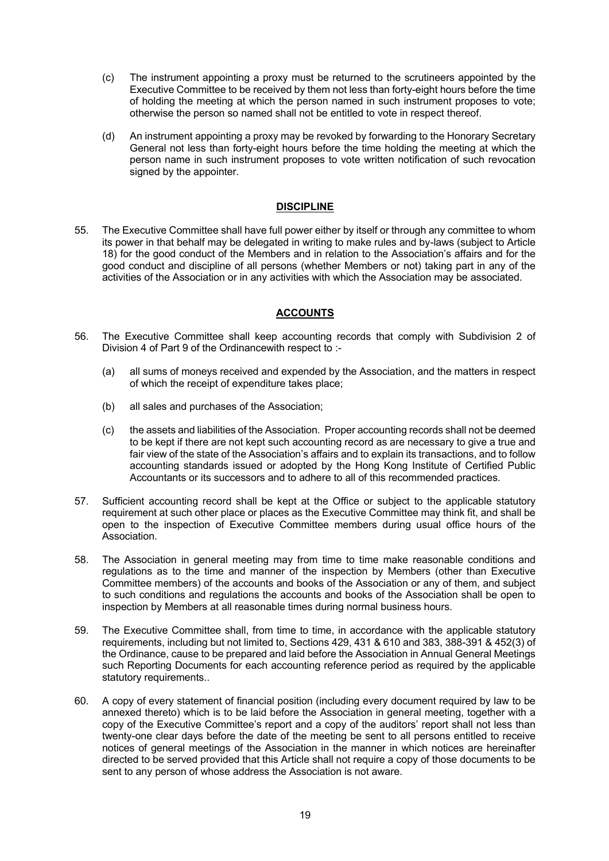- (c) The instrument appointing a proxy must be returned to the scrutineers appointed by the Executive Committee to be received by them not less than forty-eight hours before the time of holding the meeting at which the person named in such instrument proposes to vote; otherwise the person so named shall not be entitled to vote in respect thereof.
- (d) An instrument appointing a proxy may be revoked by forwarding to the Honorary Secretary General not less than forty-eight hours before the time holding the meeting at which the person name in such instrument proposes to vote written notification of such revocation signed by the appointer.

### **DISCIPLINE**

55. The Executive Committee shall have full power either by itself or through any committee to whom its power in that behalf may be delegated in writing to make rules and by-laws (subject to Article 18) for the good conduct of the Members and in relation to the Association's affairs and for the good conduct and discipline of all persons (whether Members or not) taking part in any of the activities of the Association or in any activities with which the Association may be associated.

# **ACCOUNTS**

- 56. The Executive Committee shall keep accounting records that comply with Subdivision 2 of Division 4 of Part 9 of the Ordinancewith respect to :-
	- (a) all sums of moneys received and expended by the Association, and the matters in respect of which the receipt of expenditure takes place;
	- (b) all sales and purchases of the Association;
	- (c) the assets and liabilities of the Association. Proper accounting records shall not be deemed to be kept if there are not kept such accounting record as are necessary to give a true and fair view of the state of the Association's affairs and to explain its transactions, and to follow accounting standards issued or adopted by the Hong Kong Institute of Certified Public Accountants or its successors and to adhere to all of this recommended practices.
- 57. Sufficient accounting record shall be kept at the Office or subject to the applicable statutory requirement at such other place or places as the Executive Committee may think fit, and shall be open to the inspection of Executive Committee members during usual office hours of the Association.
- 58. The Association in general meeting may from time to time make reasonable conditions and regulations as to the time and manner of the inspection by Members (other than Executive Committee members) of the accounts and books of the Association or any of them, and subject to such conditions and regulations the accounts and books of the Association shall be open to inspection by Members at all reasonable times during normal business hours.
- 59. The Executive Committee shall, from time to time, in accordance with the applicable statutory requirements, including but not limited to, Sections 429, 431 & 610 and 383, 388-391 & 452(3) of the Ordinance, cause to be prepared and laid before the Association in Annual General Meetings such Reporting Documents for each accounting reference period as required by the applicable statutory requirements..
- 60. A copy of every statement of financial position (including every document required by law to be annexed thereto) which is to be laid before the Association in general meeting, together with a copy of the Executive Committee's report and a copy of the auditors' report shall not less than twenty-one clear days before the date of the meeting be sent to all persons entitled to receive notices of general meetings of the Association in the manner in which notices are hereinafter directed to be served provided that this Article shall not require a copy of those documents to be sent to any person of whose address the Association is not aware.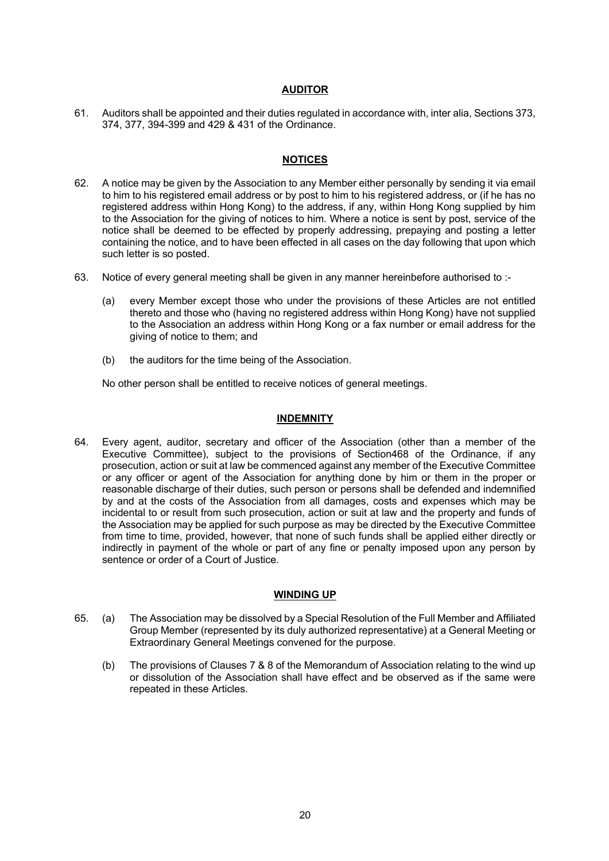### **AUDITOR**

61. Auditors shall be appointed and their duties regulated in accordance with, inter alia, Sections 373, 374, 377, 394-399 and 429 & 431 of the Ordinance.

### **NOTICES**

- 62. A notice may be given by the Association to any Member either personally by sending it via email to him to his registered email address or by post to him to his registered address, or (if he has no registered address within Hong Kong) to the address, if any, within Hong Kong supplied by him to the Association for the giving of notices to him. Where a notice is sent by post, service of the notice shall be deemed to be effected by properly addressing, prepaying and posting a letter containing the notice, and to have been effected in all cases on the day following that upon which such letter is so posted.
- 63. Notice of every general meeting shall be given in any manner hereinbefore authorised to :-
	- (a) every Member except those who under the provisions of these Articles are not entitled thereto and those who (having no registered address within Hong Kong) have not supplied to the Association an address within Hong Kong or a fax number or email address for the giving of notice to them; and
	- (b) the auditors for the time being of the Association.

No other person shall be entitled to receive notices of general meetings.

### **INDEMNITY**

64. Every agent, auditor, secretary and officer of the Association (other than a member of the Executive Committee), subject to the provisions of Section468 of the Ordinance, if any prosecution, action or suit at law be commenced against any member of the Executive Committee or any officer or agent of the Association for anything done by him or them in the proper or reasonable discharge of their duties, such person or persons shall be defended and indemnified by and at the costs of the Association from all damages, costs and expenses which may be incidental to or result from such prosecution, action or suit at law and the property and funds of the Association may be applied for such purpose as may be directed by the Executive Committee from time to time, provided, however, that none of such funds shall be applied either directly or indirectly in payment of the whole or part of any fine or penalty imposed upon any person by sentence or order of a Court of Justice.

#### **WINDING UP**

- 65. (a) The Association may be dissolved by a Special Resolution of the Full Member and Affiliated Group Member (represented by its duly authorized representative) at a General Meeting or Extraordinary General Meetings convened for the purpose.
	- (b) The provisions of Clauses 7 & 8 of the Memorandum of Association relating to the wind up or dissolution of the Association shall have effect and be observed as if the same were repeated in these Articles.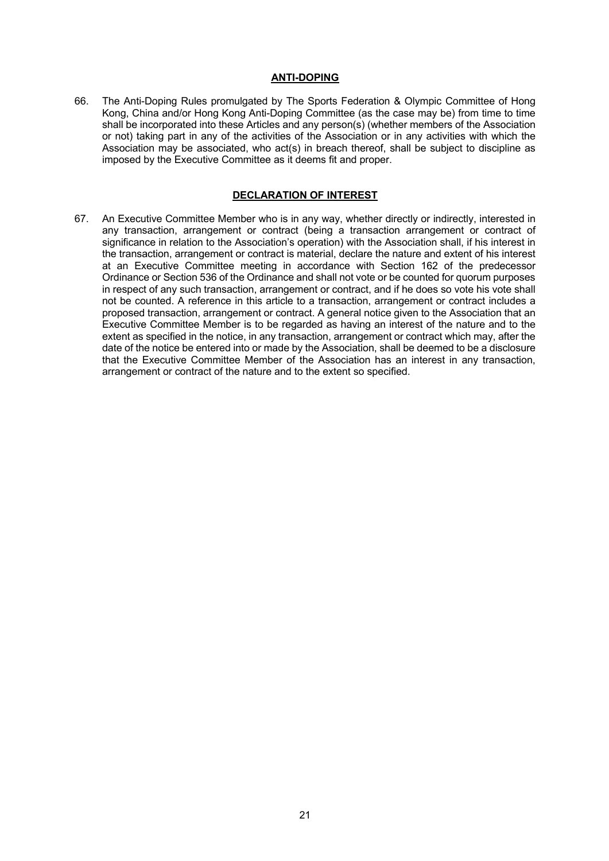### **ANTI-DOPING**

66. The Anti-Doping Rules promulgated by The Sports Federation & Olympic Committee of Hong Kong, China and/or Hong Kong Anti-Doping Committee (as the case may be) from time to time shall be incorporated into these Articles and any person(s) (whether members of the Association or not) taking part in any of the activities of the Association or in any activities with which the Association may be associated, who act(s) in breach thereof, shall be subject to discipline as imposed by the Executive Committee as it deems fit and proper.

### **DECLARATION OF INTEREST**

67. An Executive Committee Member who is in any way, whether directly or indirectly, interested in any transaction, arrangement or contract (being a transaction arrangement or contract of significance in relation to the Association's operation) with the Association shall, if his interest in the transaction, arrangement or contract is material, declare the nature and extent of his interest at an Executive Committee meeting in accordance with Section 162 of the predecessor Ordinance or Section 536 of the Ordinance and shall not vote or be counted for quorum purposes in respect of any such transaction, arrangement or contract, and if he does so vote his vote shall not be counted. A reference in this article to a transaction, arrangement or contract includes a proposed transaction, arrangement or contract. A general notice given to the Association that an Executive Committee Member is to be regarded as having an interest of the nature and to the extent as specified in the notice, in any transaction, arrangement or contract which may, after the date of the notice be entered into or made by the Association, shall be deemed to be a disclosure that the Executive Committee Member of the Association has an interest in any transaction, arrangement or contract of the nature and to the extent so specified.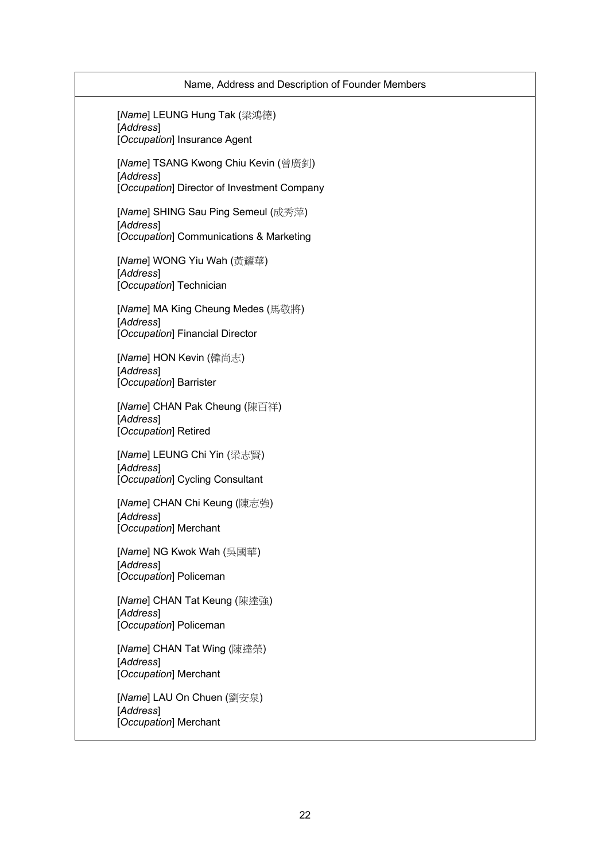| Name, Address and Description of Founder Members                                                |
|-------------------------------------------------------------------------------------------------|
| [Name] LEUNG Hung Tak (梁鴻德)<br>[Address]<br>[Occupation] Insurance Agent                        |
| [Name] TSANG Kwong Chiu Kevin (曾廣釗)<br>[Address]<br>[Occupation] Director of Investment Company |
| [Name] SHING Sau Ping Semeul (成秀萍)<br>[Address]<br>[Occupation] Communications & Marketing      |
| [Name] WONG Yiu Wah (黃耀華)<br>[Address]<br>[Occupation] Technician                               |
| [Name] MA King Cheung Medes (馬敬將)<br>[Address]<br>[Occupation] Financial Director               |
| [Name] HON Kevin (韓尚志)<br>[Address]<br>[Occupation] Barrister                                   |
| [Name] CHAN Pak Cheung (陳百祥)<br>[Address]<br>[Occupation] Retired                               |
| [Name] LEUNG Chi Yin (梁志賢)<br>[Address]<br>[Occupation] Cycling Consultant                      |
| [Name] CHAN Chi Keung (陳志強)<br>[Address]<br>[Occupation] Merchant                               |
| [Name] NG Kwok Wah (吳國華)<br>[Address]<br>[Occupation] Policeman                                 |
| [Name] CHAN Tat Keung (陳達強)<br>[Address]<br>[Occupation] Policeman                              |
| [Name] CHAN Tat Wing (陳達榮)<br>[Address]<br>[Occupation] Merchant                                |
| [Name] LAU On Chuen (劉安泉)<br>[Address]<br>[Occupation] Merchant                                 |